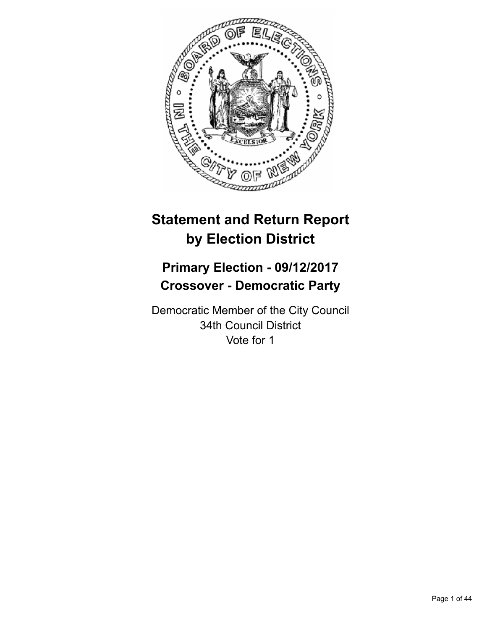

# **Statement and Return Report by Election District**

# **Primary Election - 09/12/2017 Crossover - Democratic Party**

Democratic Member of the City Council 34th Council District Vote for 1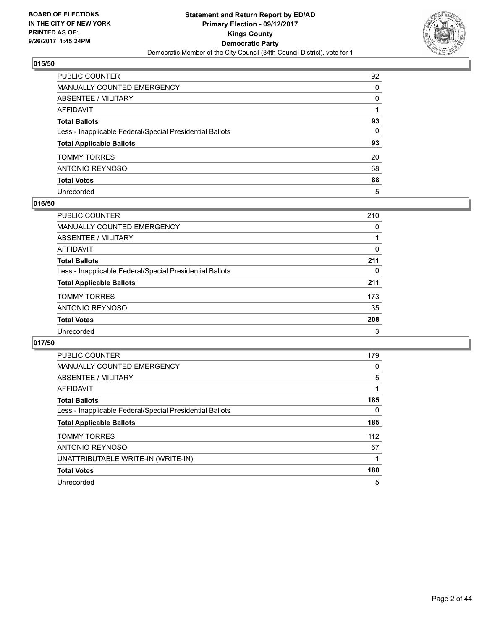

| PUBLIC COUNTER                                           | 92       |
|----------------------------------------------------------|----------|
| MANUALLY COUNTED EMERGENCY                               | 0        |
| ABSENTEE / MILITARY                                      | $\Omega$ |
| AFFIDAVIT                                                |          |
| Total Ballots                                            | 93       |
| Less - Inapplicable Federal/Special Presidential Ballots | 0        |
| <b>Total Applicable Ballots</b>                          | 93       |
| TOMMY TORRES                                             | 20       |
| ANTONIO REYNOSO                                          | 68       |
| <b>Total Votes</b>                                       | 88       |
| Unrecorded                                               | 5        |

#### **016/50**

| <b>PUBLIC COUNTER</b>                                    | 210 |
|----------------------------------------------------------|-----|
| MANUALLY COUNTED EMERGENCY                               | 0   |
| ABSENTEE / MILITARY                                      |     |
| AFFIDAVIT                                                | 0   |
| <b>Total Ballots</b>                                     | 211 |
| Less - Inapplicable Federal/Special Presidential Ballots | 0   |
| <b>Total Applicable Ballots</b>                          | 211 |
| <b>TOMMY TORRES</b>                                      | 173 |
| ANTONIO REYNOSO                                          | 35  |
| <b>Total Votes</b>                                       | 208 |
| Unrecorded                                               | 3   |

| <b>PUBLIC COUNTER</b>                                    | 179 |
|----------------------------------------------------------|-----|
| <b>MANUALLY COUNTED EMERGENCY</b>                        | 0   |
| ABSENTEE / MILITARY                                      | 5   |
| AFFIDAVIT                                                |     |
| <b>Total Ballots</b>                                     | 185 |
| Less - Inapplicable Federal/Special Presidential Ballots | 0   |
| <b>Total Applicable Ballots</b>                          | 185 |
| <b>TOMMY TORRES</b>                                      | 112 |
| ANTONIO REYNOSO                                          | 67  |
| UNATTRIBUTABLE WRITE-IN (WRITE-IN)                       |     |
| <b>Total Votes</b>                                       | 180 |
| Unrecorded                                               | 5   |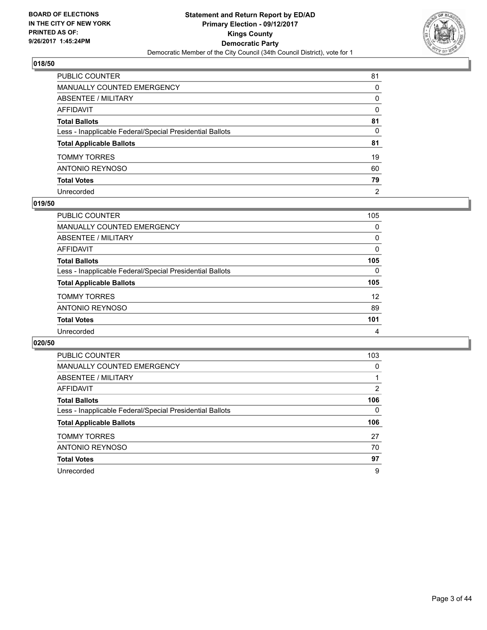

| PUBLIC COUNTER                                           | 81       |
|----------------------------------------------------------|----------|
| MANUALLY COUNTED EMERGENCY                               | 0        |
| ABSENTEE / MILITARY                                      | 0        |
| AFFIDAVIT                                                | $\Omega$ |
| Total Ballots                                            | 81       |
| Less - Inapplicable Federal/Special Presidential Ballots | 0        |
| <b>Total Applicable Ballots</b>                          | 81       |
| TOMMY TORRES                                             | 19       |
| ANTONIO REYNOSO                                          | 60       |
| <b>Total Votes</b>                                       | 79       |
| Unrecorded                                               | 2        |

#### **019/50**

| PUBLIC COUNTER                                           | 105 |
|----------------------------------------------------------|-----|
| <b>MANUALLY COUNTED EMERGENCY</b>                        | 0   |
| ABSENTEE / MILITARY                                      | 0   |
| AFFIDAVIT                                                | 0   |
| <b>Total Ballots</b>                                     | 105 |
| Less - Inapplicable Federal/Special Presidential Ballots | 0   |
| <b>Total Applicable Ballots</b>                          | 105 |
| <b>TOMMY TORRES</b>                                      | 12  |
| ANTONIO REYNOSO                                          | 89  |
| <b>Total Votes</b>                                       | 101 |
| Unrecorded                                               | 4   |

| <b>PUBLIC COUNTER</b>                                    | 103 |
|----------------------------------------------------------|-----|
| <b>MANUALLY COUNTED EMERGENCY</b>                        | 0   |
| ABSENTEE / MILITARY                                      |     |
| AFFIDAVIT                                                | 2   |
| <b>Total Ballots</b>                                     | 106 |
| Less - Inapplicable Federal/Special Presidential Ballots | 0   |
| <b>Total Applicable Ballots</b>                          | 106 |
| <b>TOMMY TORRES</b>                                      | 27  |
| ANTONIO REYNOSO                                          | 70  |
| <b>Total Votes</b>                                       | 97  |
|                                                          |     |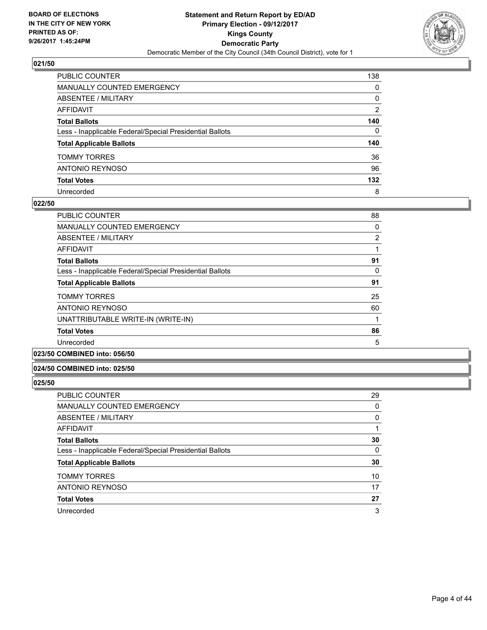

| PUBLIC COUNTER                                           | 138            |
|----------------------------------------------------------|----------------|
| <b>MANUALLY COUNTED EMERGENCY</b>                        | $\Omega$       |
| <b>ABSENTEE / MILITARY</b>                               | 0              |
| <b>AFFIDAVIT</b>                                         | $\overline{2}$ |
| <b>Total Ballots</b>                                     | 140            |
| Less - Inapplicable Federal/Special Presidential Ballots | $\mathbf{0}$   |
| <b>Total Applicable Ballots</b>                          | 140            |
| <b>TOMMY TORRES</b>                                      | 36             |
| <b>ANTONIO REYNOSO</b>                                   | 96             |
| <b>Total Votes</b>                                       | 132            |
| Unrecorded                                               | 8              |

#### **022/50**

| <b>PUBLIC COUNTER</b>                                    | 88 |
|----------------------------------------------------------|----|
| <b>MANUALLY COUNTED EMERGENCY</b>                        | 0  |
| ABSENTEE / MILITARY                                      | 2  |
| AFFIDAVIT                                                |    |
| <b>Total Ballots</b>                                     | 91 |
| Less - Inapplicable Federal/Special Presidential Ballots | 0  |
| <b>Total Applicable Ballots</b>                          | 91 |
| <b>TOMMY TORRES</b>                                      | 25 |
| ANTONIO REYNOSO                                          | 60 |
| UNATTRIBUTABLE WRITE-IN (WRITE-IN)                       |    |
| <b>Total Votes</b>                                       | 86 |
| Unrecorded                                               | 5  |
|                                                          |    |

# **023/50 COMBINED into: 056/50**

## **024/50 COMBINED into: 025/50**

| <b>PUBLIC COUNTER</b>                                    | 29 |
|----------------------------------------------------------|----|
| MANUALLY COUNTED EMERGENCY                               | 0  |
| ABSENTEE / MILITARY                                      | 0  |
| AFFIDAVIT                                                |    |
| <b>Total Ballots</b>                                     | 30 |
| Less - Inapplicable Federal/Special Presidential Ballots | 0  |
| <b>Total Applicable Ballots</b>                          | 30 |
| <b>TOMMY TORRES</b>                                      | 10 |
| <b>ANTONIO REYNOSO</b>                                   | 17 |
| <b>Total Votes</b>                                       | 27 |
| Unrecorded                                               | 3  |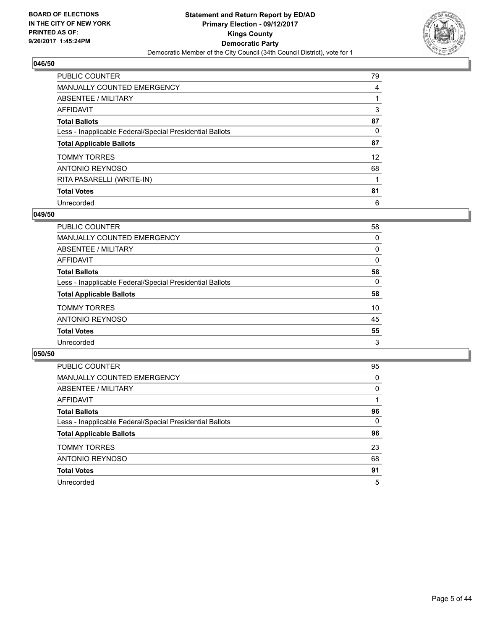

| <b>PUBLIC COUNTER</b>                                    | 79                |
|----------------------------------------------------------|-------------------|
| <b>MANUALLY COUNTED EMERGENCY</b>                        | 4                 |
| ABSENTEE / MILITARY                                      |                   |
| AFFIDAVIT                                                | 3                 |
| <b>Total Ballots</b>                                     | 87                |
| Less - Inapplicable Federal/Special Presidential Ballots | 0                 |
| <b>Total Applicable Ballots</b>                          | 87                |
| <b>TOMMY TORRES</b>                                      | $12 \overline{ }$ |
| ANTONIO REYNOSO                                          | 68                |
| RITA PASARELLI (WRITE-IN)                                |                   |
| <b>Total Votes</b>                                       | 81                |
| Unrecorded                                               | 6                 |

#### **049/50**

| <b>PUBLIC COUNTER</b>                                    | 58 |
|----------------------------------------------------------|----|
| <b>MANUALLY COUNTED EMERGENCY</b>                        | 0  |
| ABSENTEE / MILITARY                                      | 0  |
| AFFIDAVIT                                                | 0  |
| <b>Total Ballots</b>                                     | 58 |
| Less - Inapplicable Federal/Special Presidential Ballots | 0  |
| <b>Total Applicable Ballots</b>                          | 58 |
| <b>TOMMY TORRES</b>                                      | 10 |
| ANTONIO REYNOSO                                          | 45 |
| <b>Total Votes</b>                                       | 55 |
| Unrecorded                                               | 3  |

| <b>PUBLIC COUNTER</b>                                    | 95 |
|----------------------------------------------------------|----|
| <b>MANUALLY COUNTED EMERGENCY</b>                        | 0  |
| ABSENTEE / MILITARY                                      | 0  |
| AFFIDAVIT                                                |    |
| <b>Total Ballots</b>                                     | 96 |
| Less - Inapplicable Federal/Special Presidential Ballots | 0  |
| <b>Total Applicable Ballots</b>                          | 96 |
| <b>TOMMY TORRES</b>                                      | 23 |
| ANTONIO REYNOSO                                          | 68 |
| <b>Total Votes</b>                                       | 91 |
| Unrecorded                                               | 5  |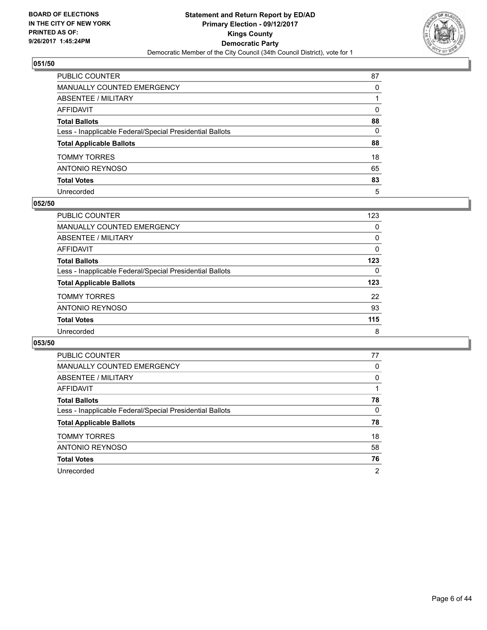

| PUBLIC COUNTER                                           | 87           |
|----------------------------------------------------------|--------------|
| MANUALLY COUNTED EMERGENCY                               | $\Omega$     |
| ABSENTEE / MILITARY                                      |              |
| AFFIDAVIT                                                | $\Omega$     |
| Total Ballots                                            | 88           |
| Less - Inapplicable Federal/Special Presidential Ballots | $\mathbf{0}$ |
| <b>Total Applicable Ballots</b>                          | 88           |
| TOMMY TORRES                                             | 18           |
| ANTONIO REYNOSO                                          | 65           |
| <b>Total Votes</b>                                       | 83           |
| Unrecorded                                               | 5            |

#### **052/50**

| <b>PUBLIC COUNTER</b>                                    | 123 |
|----------------------------------------------------------|-----|
| <b>MANUALLY COUNTED EMERGENCY</b>                        | 0   |
| ABSENTEE / MILITARY                                      | 0   |
| AFFIDAVIT                                                | 0   |
| <b>Total Ballots</b>                                     | 123 |
| Less - Inapplicable Federal/Special Presidential Ballots | 0   |
| <b>Total Applicable Ballots</b>                          | 123 |
| <b>TOMMY TORRES</b>                                      | 22  |
| ANTONIO REYNOSO                                          | 93  |
| <b>Total Votes</b>                                       | 115 |
| Unrecorded                                               | 8   |

| <b>PUBLIC COUNTER</b>                                    | 77             |
|----------------------------------------------------------|----------------|
| <b>MANUALLY COUNTED EMERGENCY</b>                        | 0              |
| ABSENTEE / MILITARY                                      | 0              |
| AFFIDAVIT                                                |                |
| <b>Total Ballots</b>                                     | 78             |
| Less - Inapplicable Federal/Special Presidential Ballots | 0              |
| <b>Total Applicable Ballots</b>                          | 78             |
| <b>TOMMY TORRES</b>                                      | 18             |
| <b>ANTONIO REYNOSO</b>                                   | 58             |
| <b>Total Votes</b>                                       | 76             |
| Unrecorded                                               | $\overline{2}$ |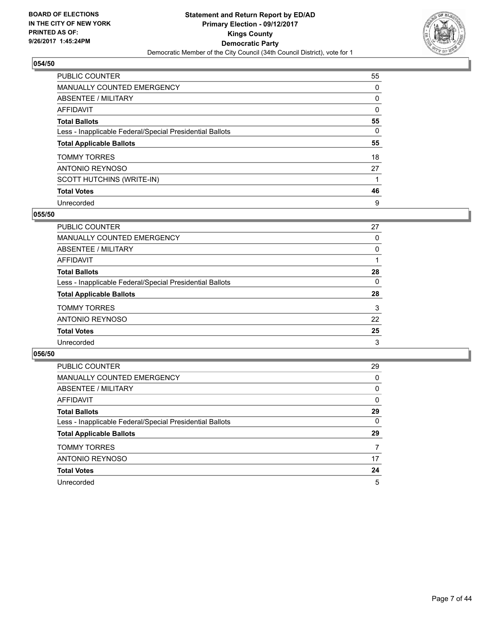

| <b>PUBLIC COUNTER</b>                                    | 55 |
|----------------------------------------------------------|----|
| <b>MANUALLY COUNTED EMERGENCY</b>                        | 0  |
| ABSENTEE / MILITARY                                      | 0  |
| AFFIDAVIT                                                | 0  |
| <b>Total Ballots</b>                                     | 55 |
| Less - Inapplicable Federal/Special Presidential Ballots | 0  |
| <b>Total Applicable Ballots</b>                          | 55 |
| <b>TOMMY TORRES</b>                                      | 18 |
| ANTONIO REYNOSO                                          | 27 |
| SCOTT HUTCHINS (WRITE-IN)                                |    |
| <b>Total Votes</b>                                       | 46 |
| Unrecorded                                               | 9  |

#### **055/50**

| PUBLIC COUNTER                                           | 27 |
|----------------------------------------------------------|----|
| MANUALLY COUNTED EMERGENCY                               | 0  |
| ABSENTEE / MILITARY                                      | 0  |
| AFFIDAVIT                                                |    |
| <b>Total Ballots</b>                                     | 28 |
| Less - Inapplicable Federal/Special Presidential Ballots | 0  |
| <b>Total Applicable Ballots</b>                          | 28 |
| <b>TOMMY TORRES</b>                                      | 3  |
| ANTONIO REYNOSO                                          | 22 |
| <b>Total Votes</b>                                       | 25 |
| Unrecorded                                               | 3  |

| PUBLIC COUNTER                                           | 29 |
|----------------------------------------------------------|----|
| <b>MANUALLY COUNTED EMERGENCY</b>                        | 0  |
| ABSENTEE / MILITARY                                      | 0  |
| AFFIDAVIT                                                | 0  |
| <b>Total Ballots</b>                                     | 29 |
| Less - Inapplicable Federal/Special Presidential Ballots | 0  |
| <b>Total Applicable Ballots</b>                          | 29 |
| <b>TOMMY TORRES</b>                                      | 7  |
| ANTONIO REYNOSO                                          | 17 |
| <b>Total Votes</b>                                       | 24 |
| Unrecorded                                               | 5  |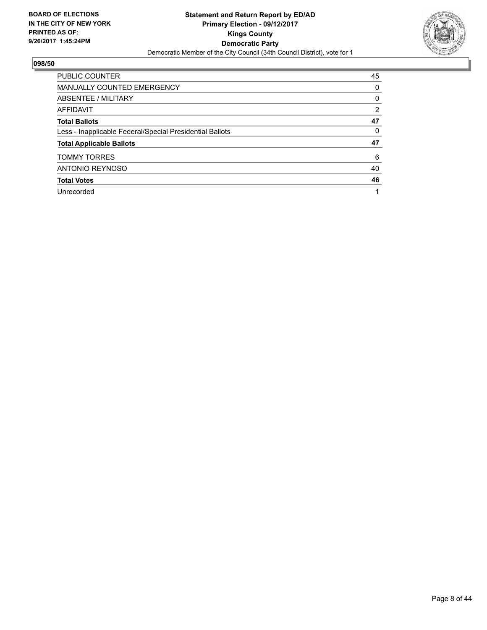

| <b>PUBLIC COUNTER</b>                                    | 45             |
|----------------------------------------------------------|----------------|
| MANUALLY COUNTED EMERGENCY                               | 0              |
| ABSENTEE / MILITARY                                      | 0              |
| AFFIDAVIT                                                | $\overline{2}$ |
| <b>Total Ballots</b>                                     | 47             |
| Less - Inapplicable Federal/Special Presidential Ballots | 0              |
| <b>Total Applicable Ballots</b>                          | 47             |
| <b>TOMMY TORRES</b>                                      | 6              |
| <b>ANTONIO REYNOSO</b>                                   | 40             |
| <b>Total Votes</b>                                       | 46             |
| Unrecorded                                               |                |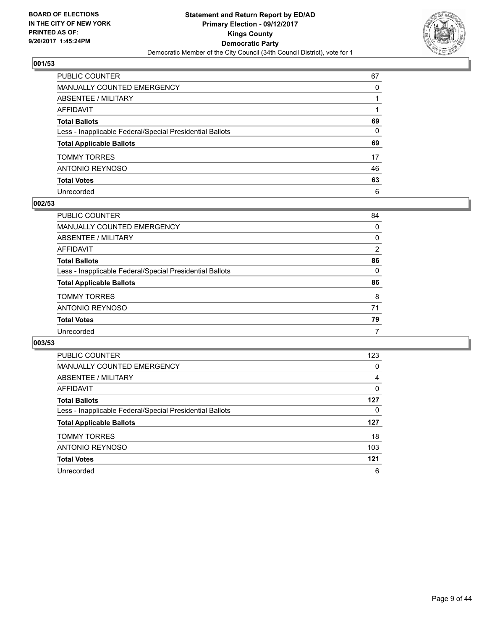

| PUBLIC COUNTER                                           | 67 |
|----------------------------------------------------------|----|
| MANUALLY COUNTED EMERGENCY                               | 0  |
| ABSENTEE / MILITARY                                      |    |
| AFFIDAVIT                                                |    |
| Total Ballots                                            | 69 |
| Less - Inapplicable Federal/Special Presidential Ballots | 0  |
| <b>Total Applicable Ballots</b>                          | 69 |
| TOMMY TORRES                                             | 17 |
| ANTONIO REYNOSO                                          | 46 |
| <b>Total Votes</b>                                       | 63 |
| Unrecorded                                               | 6  |

#### **002/53**

| PUBLIC COUNTER                                           | 84             |
|----------------------------------------------------------|----------------|
| MANUALLY COUNTED EMERGENCY                               | 0              |
| ABSENTEE / MILITARY                                      | 0              |
| AFFIDAVIT                                                | $\overline{2}$ |
| <b>Total Ballots</b>                                     | 86             |
| Less - Inapplicable Federal/Special Presidential Ballots | $\Omega$       |
| <b>Total Applicable Ballots</b>                          | 86             |
| <b>TOMMY TORRES</b>                                      | 8              |
| ANTONIO REYNOSO                                          | 71             |
| <b>Total Votes</b>                                       | 79             |
| Unrecorded                                               | 7              |

| <b>PUBLIC COUNTER</b>                                    | 123 |
|----------------------------------------------------------|-----|
| <b>MANUALLY COUNTED EMERGENCY</b>                        | 0   |
| ABSENTEE / MILITARY                                      | 4   |
| <b>AFFIDAVIT</b>                                         | 0   |
| <b>Total Ballots</b>                                     | 127 |
| Less - Inapplicable Federal/Special Presidential Ballots | 0   |
| <b>Total Applicable Ballots</b>                          | 127 |
| <b>TOMMY TORRES</b>                                      | 18  |
| <b>ANTONIO REYNOSO</b>                                   | 103 |
| <b>Total Votes</b>                                       | 121 |
| Unrecorded                                               | 6   |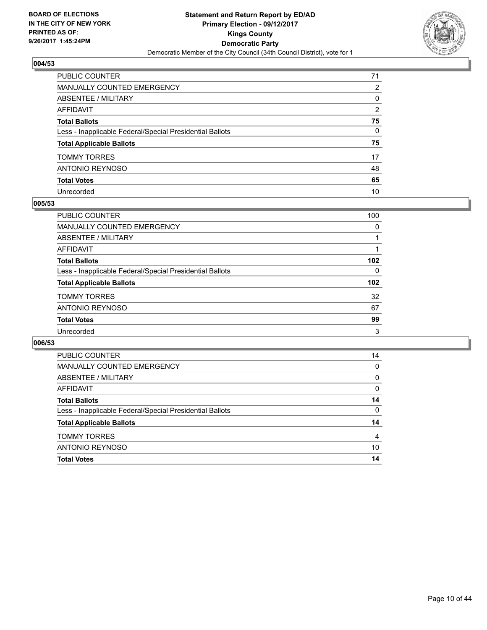

| PUBLIC COUNTER                                           | 71 |
|----------------------------------------------------------|----|
| <b>MANUALLY COUNTED EMERGENCY</b>                        | 2  |
| <b>ABSENTEE / MILITARY</b>                               | 0  |
| AFFIDAVIT                                                | 2  |
| <b>Total Ballots</b>                                     | 75 |
| Less - Inapplicable Federal/Special Presidential Ballots | 0  |
| <b>Total Applicable Ballots</b>                          | 75 |
| TOMMY TORRES                                             | 17 |
| <b>ANTONIO REYNOSO</b>                                   | 48 |
| <b>Total Votes</b>                                       | 65 |
| Unrecorded                                               | 10 |

#### **005/53**

| <b>PUBLIC COUNTER</b>                                    | 100 |
|----------------------------------------------------------|-----|
| MANUALLY COUNTED EMERGENCY                               | 0   |
| ABSENTEE / MILITARY                                      |     |
| AFFIDAVIT                                                |     |
| <b>Total Ballots</b>                                     | 102 |
| Less - Inapplicable Federal/Special Presidential Ballots | 0   |
| <b>Total Applicable Ballots</b>                          | 102 |
| <b>TOMMY TORRES</b>                                      | 32  |
| ANTONIO REYNOSO                                          | 67  |
| <b>Total Votes</b>                                       | 99  |
| Unrecorded                                               | 3   |

| <b>TOMMY TORRES</b>                                      | 4  |
|----------------------------------------------------------|----|
| <b>Total Applicable Ballots</b>                          | 14 |
| Less - Inapplicable Federal/Special Presidential Ballots | 0  |
| <b>Total Ballots</b>                                     | 14 |
| AFFIDAVIT                                                | 0  |
| ABSENTEE / MILITARY                                      | 0  |
| <b>MANUALLY COUNTED EMERGENCY</b>                        | 0  |
| <b>PUBLIC COUNTER</b>                                    | 14 |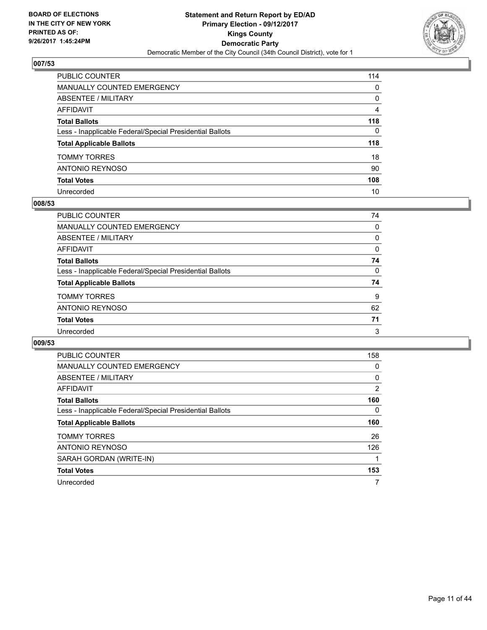

| PUBLIC COUNTER                                           | 114 |
|----------------------------------------------------------|-----|
| <b>MANUALLY COUNTED EMERGENCY</b>                        | 0   |
| <b>ABSENTEE / MILITARY</b>                               | 0   |
| AFFIDAVIT                                                | 4   |
| <b>Total Ballots</b>                                     | 118 |
| Less - Inapplicable Federal/Special Presidential Ballots | 0   |
| <b>Total Applicable Ballots</b>                          | 118 |
| <b>TOMMY TORRES</b>                                      | 18  |
| <b>ANTONIO REYNOSO</b>                                   | 90  |
| <b>Total Votes</b>                                       | 108 |
| Unrecorded                                               | 10  |

#### **008/53**

| <b>PUBLIC COUNTER</b>                                    | 74 |
|----------------------------------------------------------|----|
| MANUALLY COUNTED EMERGENCY                               | 0  |
| ABSENTEE / MILITARY                                      | 0  |
| AFFIDAVIT                                                | 0  |
| <b>Total Ballots</b>                                     | 74 |
| Less - Inapplicable Federal/Special Presidential Ballots | 0  |
| <b>Total Applicable Ballots</b>                          | 74 |
| <b>TOMMY TORRES</b>                                      | 9  |
| ANTONIO REYNOSO                                          | 62 |
| <b>Total Votes</b>                                       | 71 |
| Unrecorded                                               | 3  |

| <b>PUBLIC COUNTER</b>                                    | 158 |
|----------------------------------------------------------|-----|
| <b>MANUALLY COUNTED EMERGENCY</b>                        | 0   |
| <b>ABSENTEE / MILITARY</b>                               | 0   |
| <b>AFFIDAVIT</b>                                         | 2   |
| <b>Total Ballots</b>                                     | 160 |
| Less - Inapplicable Federal/Special Presidential Ballots | 0   |
| <b>Total Applicable Ballots</b>                          | 160 |
|                                                          |     |
| <b>TOMMY TORRES</b>                                      | 26  |
| <b>ANTONIO REYNOSO</b>                                   | 126 |
| SARAH GORDAN (WRITE-IN)                                  |     |
| <b>Total Votes</b>                                       | 153 |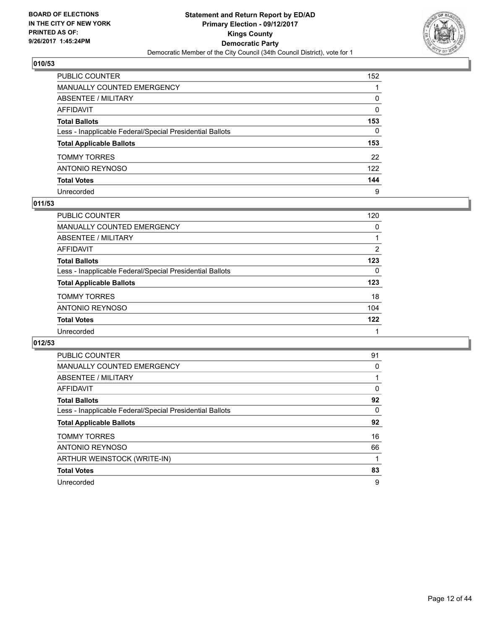

| PUBLIC COUNTER                                           | 152          |
|----------------------------------------------------------|--------------|
| <b>MANUALLY COUNTED EMERGENCY</b>                        |              |
| <b>ABSENTEE / MILITARY</b>                               | 0            |
| AFFIDAVIT                                                | 0            |
| <b>Total Ballots</b>                                     | 153          |
| Less - Inapplicable Federal/Special Presidential Ballots | $\mathbf{0}$ |
| <b>Total Applicable Ballots</b>                          | 153          |
| <b>TOMMY TORRES</b>                                      | 22           |
| <b>ANTONIO REYNOSO</b>                                   | 122          |
| <b>Total Votes</b>                                       | 144          |
| Unrecorded                                               | 9            |

## **011/53**

| <b>PUBLIC COUNTER</b>                                    | 120 |
|----------------------------------------------------------|-----|
| MANUALLY COUNTED EMERGENCY                               | 0   |
| ABSENTEE / MILITARY                                      |     |
| AFFIDAVIT                                                | 2   |
| <b>Total Ballots</b>                                     | 123 |
| Less - Inapplicable Federal/Special Presidential Ballots | 0   |
| <b>Total Applicable Ballots</b>                          | 123 |
| <b>TOMMY TORRES</b>                                      | 18  |
| ANTONIO REYNOSO                                          | 104 |
| <b>Total Votes</b>                                       | 122 |
| Unrecorded                                               |     |

| PUBLIC COUNTER                                           | 91 |
|----------------------------------------------------------|----|
| <b>MANUALLY COUNTED EMERGENCY</b>                        | 0  |
| <b>ABSENTEE / MILITARY</b>                               |    |
| <b>AFFIDAVIT</b>                                         | 0  |
| <b>Total Ballots</b>                                     | 92 |
| Less - Inapplicable Federal/Special Presidential Ballots | 0  |
| <b>Total Applicable Ballots</b>                          | 92 |
|                                                          |    |
| <b>TOMMY TORRES</b>                                      | 16 |
| <b>ANTONIO REYNOSO</b>                                   | 66 |
| ARTHUR WEINSTOCK (WRITE-IN)                              |    |
| <b>Total Votes</b>                                       | 83 |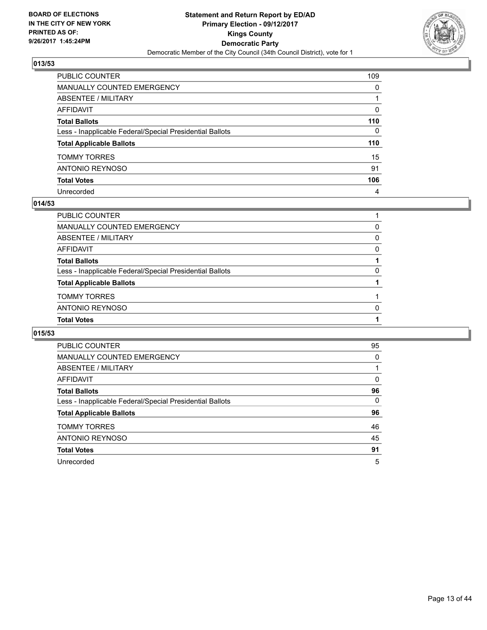

| PUBLIC COUNTER                                           | 109          |
|----------------------------------------------------------|--------------|
| <b>MANUALLY COUNTED EMERGENCY</b>                        | $\Omega$     |
| ABSENTEE / MILITARY                                      |              |
| <b>AFFIDAVIT</b>                                         | 0            |
| <b>Total Ballots</b>                                     | 110          |
| Less - Inapplicable Federal/Special Presidential Ballots | $\mathbf{0}$ |
| <b>Total Applicable Ballots</b>                          | 110          |
| <b>TOMMY TORRES</b>                                      | 15           |
| <b>ANTONIO REYNOSO</b>                                   | 91           |
| <b>Total Votes</b>                                       | 106          |
| Unrecorded                                               | 4            |

#### **014/53**

| <b>Total Votes</b>                                       |              |
|----------------------------------------------------------|--------------|
| <b>ANTONIO REYNOSO</b>                                   | <sup>0</sup> |
| <b>TOMMY TORRES</b>                                      |              |
| <b>Total Applicable Ballots</b>                          |              |
| Less - Inapplicable Federal/Special Presidential Ballots | 0            |
| <b>Total Ballots</b>                                     |              |
| AFFIDAVIT                                                | $\Omega$     |
| ABSENTEE / MILITARY                                      | 0            |
| MANUALLY COUNTED EMERGENCY                               | 0            |
| PUBLIC COUNTER                                           |              |

| <b>PUBLIC COUNTER</b>                                    | 95 |
|----------------------------------------------------------|----|
| <b>MANUALLY COUNTED EMERGENCY</b>                        | 0  |
| ABSENTEE / MILITARY                                      |    |
| AFFIDAVIT                                                | 0  |
| <b>Total Ballots</b>                                     | 96 |
| Less - Inapplicable Federal/Special Presidential Ballots | 0  |
| <b>Total Applicable Ballots</b>                          | 96 |
| <b>TOMMY TORRES</b>                                      | 46 |
| <b>ANTONIO REYNOSO</b>                                   | 45 |
| <b>Total Votes</b>                                       | 91 |
| Unrecorded                                               | 5  |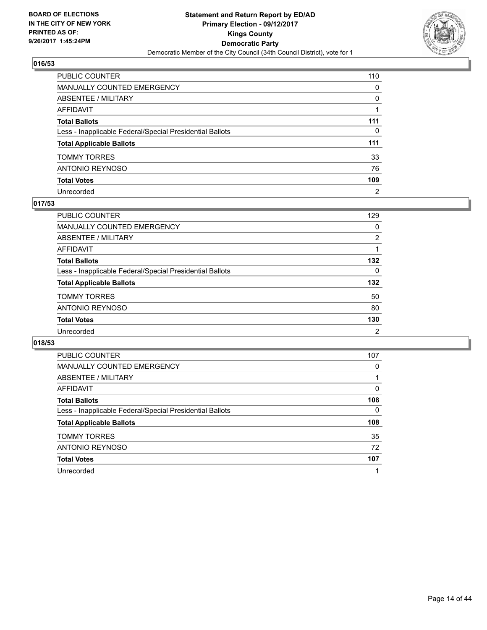

| PUBLIC COUNTER                                           | 110            |
|----------------------------------------------------------|----------------|
| <b>MANUALLY COUNTED EMERGENCY</b>                        | $\mathbf{0}$   |
| ABSENTEE / MILITARY                                      | $\mathbf{0}$   |
| <b>AFFIDAVIT</b>                                         |                |
| <b>Total Ballots</b>                                     | 111            |
| Less - Inapplicable Federal/Special Presidential Ballots | 0              |
| <b>Total Applicable Ballots</b>                          | 111            |
| TOMMY TORRES                                             | 33             |
| ANTONIO REYNOSO                                          | 76             |
| <b>Total Votes</b>                                       | 109            |
| Unrecorded                                               | $\overline{2}$ |

#### **017/53**

| <b>PUBLIC COUNTER</b>                                    | 129            |
|----------------------------------------------------------|----------------|
| <b>MANUALLY COUNTED EMERGENCY</b>                        | 0              |
| ABSENTEE / MILITARY                                      | 2              |
| AFFIDAVIT                                                |                |
| <b>Total Ballots</b>                                     | 132            |
| Less - Inapplicable Federal/Special Presidential Ballots | 0              |
| <b>Total Applicable Ballots</b>                          | 132            |
| <b>TOMMY TORRES</b>                                      | 50             |
| ANTONIO REYNOSO                                          | 80             |
| <b>Total Votes</b>                                       | 130            |
| Unrecorded                                               | $\overline{2}$ |

| <b>PUBLIC COUNTER</b>                                    | 107 |
|----------------------------------------------------------|-----|
| <b>MANUALLY COUNTED EMERGENCY</b>                        | 0   |
| ABSENTEE / MILITARY                                      |     |
| AFFIDAVIT                                                | 0   |
| <b>Total Ballots</b>                                     | 108 |
| Less - Inapplicable Federal/Special Presidential Ballots | 0   |
| <b>Total Applicable Ballots</b>                          | 108 |
| <b>TOMMY TORRES</b>                                      | 35  |
| ANTONIO REYNOSO                                          | 72  |
| <b>Total Votes</b>                                       | 107 |
| Unrecorded                                               |     |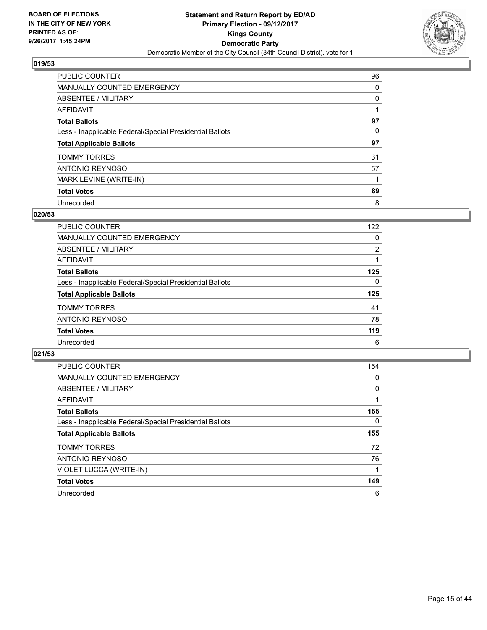

| PUBLIC COUNTER                                           | 96 |
|----------------------------------------------------------|----|
| <b>MANUALLY COUNTED EMERGENCY</b>                        | 0  |
| ABSENTEE / MILITARY                                      | 0  |
| AFFIDAVIT                                                |    |
| <b>Total Ballots</b>                                     | 97 |
| Less - Inapplicable Federal/Special Presidential Ballots | 0  |
| <b>Total Applicable Ballots</b>                          | 97 |
| <b>TOMMY TORRES</b>                                      | 31 |
| ANTONIO REYNOSO                                          | 57 |
| MARK LEVINE (WRITE-IN)                                   |    |
| <b>Total Votes</b>                                       | 89 |
| Unrecorded                                               | 8  |

#### **020/53**

| <b>PUBLIC COUNTER</b>                                    | 122            |
|----------------------------------------------------------|----------------|
| MANUALLY COUNTED EMERGENCY                               | 0              |
| ABSENTEE / MILITARY                                      | $\overline{2}$ |
| AFFIDAVIT                                                |                |
| <b>Total Ballots</b>                                     | 125            |
| Less - Inapplicable Federal/Special Presidential Ballots | 0              |
| <b>Total Applicable Ballots</b>                          | 125            |
| <b>TOMMY TORRES</b>                                      | 41             |
| ANTONIO REYNOSO                                          | 78             |
| <b>Total Votes</b>                                       | 119            |
| Unrecorded                                               | 6              |

| <b>PUBLIC COUNTER</b>                                    | 154      |
|----------------------------------------------------------|----------|
| <b>MANUALLY COUNTED EMERGENCY</b>                        | 0        |
| ABSENTEE / MILITARY                                      | 0        |
| AFFIDAVIT                                                |          |
| <b>Total Ballots</b>                                     | 155      |
| Less - Inapplicable Federal/Special Presidential Ballots | $\Omega$ |
| <b>Total Applicable Ballots</b>                          | 155      |
| <b>TOMMY TORRES</b>                                      | 72       |
| <b>ANTONIO REYNOSO</b>                                   | 76       |
| VIOLET LUCCA (WRITE-IN)                                  |          |
| <b>Total Votes</b>                                       | 149      |
| Unrecorded                                               | 6        |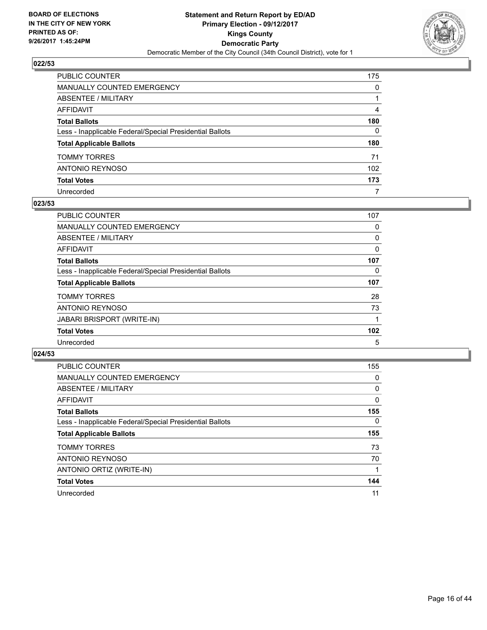

| PUBLIC COUNTER                                           | 175          |
|----------------------------------------------------------|--------------|
| MANUALLY COUNTED EMERGENCY                               | 0            |
| ABSENTEE / MILITARY                                      |              |
| AFFIDAVIT                                                | 4            |
| Total Ballots                                            | 180          |
| Less - Inapplicable Federal/Special Presidential Ballots | $\mathbf{0}$ |
| <b>Total Applicable Ballots</b>                          | 180          |
| TOMMY TORRES                                             | 71           |
| ANTONIO REYNOSO                                          | 102          |
| <b>Total Votes</b>                                       | 173          |
| Unrecorded                                               | 7            |

#### **023/53**

| <b>PUBLIC COUNTER</b>                                    | 107 |
|----------------------------------------------------------|-----|
| MANUALLY COUNTED EMERGENCY                               | 0   |
| ABSENTEE / MILITARY                                      | 0   |
| AFFIDAVIT                                                | 0   |
| <b>Total Ballots</b>                                     | 107 |
| Less - Inapplicable Federal/Special Presidential Ballots | 0   |
| <b>Total Applicable Ballots</b>                          | 107 |
| <b>TOMMY TORRES</b>                                      | 28  |
| ANTONIO REYNOSO                                          | 73  |
| <b>JABARI BRISPORT (WRITE-IN)</b>                        |     |
| <b>Total Votes</b>                                       | 102 |
| Unrecorded                                               | 5   |

| <b>PUBLIC COUNTER</b>                                    | 155          |
|----------------------------------------------------------|--------------|
| <b>MANUALLY COUNTED EMERGENCY</b>                        | 0            |
| ABSENTEE / MILITARY                                      | 0            |
| <b>AFFIDAVIT</b>                                         | $\mathbf{0}$ |
| <b>Total Ballots</b>                                     | 155          |
| Less - Inapplicable Federal/Special Presidential Ballots | $\Omega$     |
| <b>Total Applicable Ballots</b>                          | 155          |
| <b>TOMMY TORRES</b>                                      | 73           |
| <b>ANTONIO REYNOSO</b>                                   | 70           |
| ANTONIO ORTIZ (WRITE-IN)                                 |              |
| <b>Total Votes</b>                                       | 144          |
| Unrecorded                                               | 11           |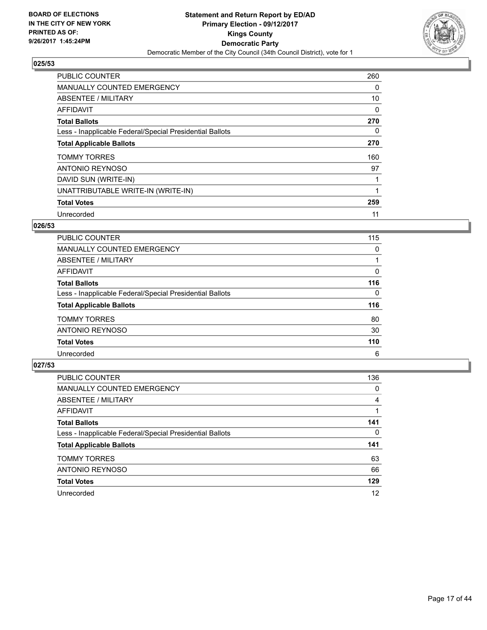

| <b>PUBLIC COUNTER</b>                                    | 260 |
|----------------------------------------------------------|-----|
| MANUALLY COUNTED EMERGENCY                               | 0   |
| ABSENTEE / MILITARY                                      | 10  |
| <b>AFFIDAVIT</b>                                         | 0   |
| <b>Total Ballots</b>                                     | 270 |
| Less - Inapplicable Federal/Special Presidential Ballots | 0   |
| <b>Total Applicable Ballots</b>                          | 270 |
| <b>TOMMY TORRES</b>                                      | 160 |
| ANTONIO REYNOSO                                          | 97  |
| DAVID SUN (WRITE-IN)                                     |     |
| UNATTRIBUTABLE WRITE-IN (WRITE-IN)                       |     |
| <b>Total Votes</b>                                       | 259 |
| Unrecorded                                               | 11  |

## **026/53**

| <b>PUBLIC COUNTER</b>                                    | 115 |
|----------------------------------------------------------|-----|
| <b>MANUALLY COUNTED EMERGENCY</b>                        | 0   |
| ABSENTEE / MILITARY                                      |     |
| AFFIDAVIT                                                | 0   |
| <b>Total Ballots</b>                                     | 116 |
| Less - Inapplicable Federal/Special Presidential Ballots | 0   |
| <b>Total Applicable Ballots</b>                          | 116 |
| <b>TOMMY TORRES</b>                                      | 80  |
| ANTONIO REYNOSO                                          | 30  |
| <b>Total Votes</b>                                       | 110 |
| Unrecorded                                               | 6   |

| <b>PUBLIC COUNTER</b>                                    | 136 |
|----------------------------------------------------------|-----|
| <b>MANUALLY COUNTED EMERGENCY</b>                        | 0   |
| ABSENTEE / MILITARY                                      | 4   |
| AFFIDAVIT                                                |     |
| <b>Total Ballots</b>                                     | 141 |
| Less - Inapplicable Federal/Special Presidential Ballots | 0   |
| <b>Total Applicable Ballots</b>                          | 141 |
| <b>TOMMY TORRES</b>                                      | 63  |
| ANTONIO REYNOSO                                          | 66  |
| <b>Total Votes</b>                                       | 129 |
| Unrecorded                                               | 12  |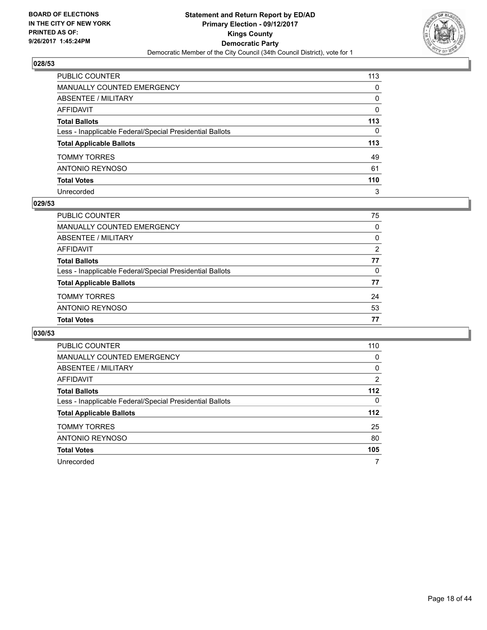

| PUBLIC COUNTER                                           | 113          |
|----------------------------------------------------------|--------------|
| <b>MANUALLY COUNTED EMERGENCY</b>                        | 0            |
| <b>ABSENTEE / MILITARY</b>                               | 0            |
| AFFIDAVIT                                                | 0            |
| <b>Total Ballots</b>                                     | 113          |
| Less - Inapplicable Federal/Special Presidential Ballots | $\mathbf{0}$ |
| <b>Total Applicable Ballots</b>                          | 113          |
| <b>TOMMY TORRES</b>                                      | 49           |
| ANTONIO REYNOSO                                          | 61           |
| <b>Total Votes</b>                                       | 110          |
| Unrecorded                                               | 3            |

#### **029/53**

| PUBLIC COUNTER                                           | 75       |
|----------------------------------------------------------|----------|
| MANUALLY COUNTED EMERGENCY                               | 0        |
| ABSENTEE / MILITARY                                      | 0        |
| AFFIDAVIT                                                | 2        |
| <b>Total Ballots</b>                                     | 77       |
| Less - Inapplicable Federal/Special Presidential Ballots | $\Omega$ |
| <b>Total Applicable Ballots</b>                          | 77       |
| <b>TOMMY TORRES</b>                                      | 24       |
| ANTONIO REYNOSO                                          | 53       |
| <b>Total Votes</b>                                       | 77       |

| <b>PUBLIC COUNTER</b>                                    | 110            |
|----------------------------------------------------------|----------------|
| <b>MANUALLY COUNTED EMERGENCY</b>                        | 0              |
| ABSENTEE / MILITARY                                      | 0              |
| AFFIDAVIT                                                | $\overline{2}$ |
| <b>Total Ballots</b>                                     | $112$          |
| Less - Inapplicable Federal/Special Presidential Ballots | $\Omega$       |
| <b>Total Applicable Ballots</b>                          | 112            |
| <b>TOMMY TORRES</b>                                      | 25             |
| ANTONIO REYNOSO                                          | 80             |
| <b>Total Votes</b>                                       | 105            |
| Unrecorded                                               | 7              |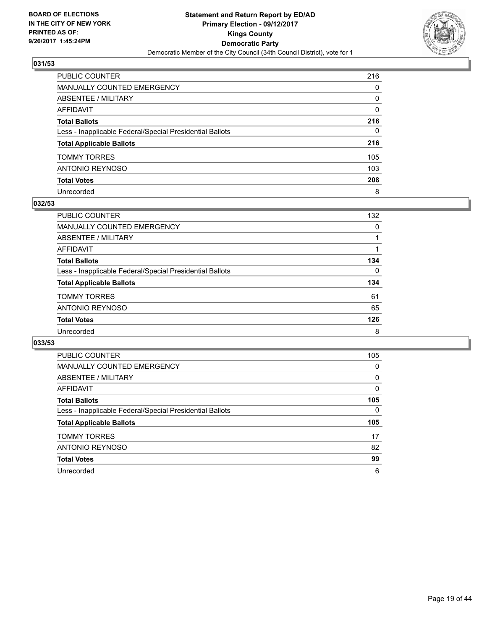

| PUBLIC COUNTER                                           | 216 |
|----------------------------------------------------------|-----|
| <b>MANUALLY COUNTED EMERGENCY</b>                        | 0   |
| <b>ABSENTEE / MILITARY</b>                               | 0   |
| <b>AFFIDAVIT</b>                                         | 0   |
| <b>Total Ballots</b>                                     | 216 |
| Less - Inapplicable Federal/Special Presidential Ballots | 0   |
| <b>Total Applicable Ballots</b>                          | 216 |
| <b>TOMMY TORRES</b>                                      | 105 |
| <b>ANTONIO REYNOSO</b>                                   | 103 |
| <b>Total Votes</b>                                       | 208 |
| Unrecorded                                               | 8   |

#### **032/53**

| PUBLIC COUNTER                                           | 132 |
|----------------------------------------------------------|-----|
| <b>MANUALLY COUNTED EMERGENCY</b>                        | 0   |
| ABSENTEE / MILITARY                                      |     |
| AFFIDAVIT                                                |     |
| <b>Total Ballots</b>                                     | 134 |
| Less - Inapplicable Federal/Special Presidential Ballots | 0   |
| <b>Total Applicable Ballots</b>                          | 134 |
| <b>TOMMY TORRES</b>                                      | 61  |
| ANTONIO REYNOSO                                          | 65  |
| <b>Total Votes</b>                                       | 126 |
| Unrecorded                                               | 8   |

| <b>PUBLIC COUNTER</b>                                    | 105 |
|----------------------------------------------------------|-----|
| <b>MANUALLY COUNTED EMERGENCY</b>                        | 0   |
| ABSENTEE / MILITARY                                      | 0   |
| AFFIDAVIT                                                | 0   |
| <b>Total Ballots</b>                                     | 105 |
| Less - Inapplicable Federal/Special Presidential Ballots | 0   |
| <b>Total Applicable Ballots</b>                          | 105 |
|                                                          |     |
| <b>TOMMY TORRES</b>                                      | 17  |
| ANTONIO REYNOSO                                          | 82  |
| <b>Total Votes</b>                                       | 99  |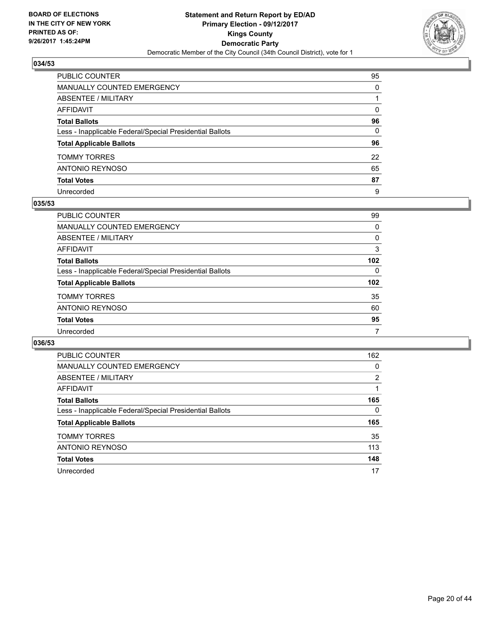

| PUBLIC COUNTER                                           | 95           |
|----------------------------------------------------------|--------------|
| MANUALLY COUNTED EMERGENCY                               | 0            |
| ABSENTEE / MILITARY                                      |              |
| AFFIDAVIT                                                | $\mathbf{0}$ |
| Total Ballots                                            | 96           |
| Less - Inapplicable Federal/Special Presidential Ballots | 0            |
| <b>Total Applicable Ballots</b>                          | 96           |
| TOMMY TORRES                                             | 22           |
| ANTONIO REYNOSO                                          | 65           |
| <b>Total Votes</b>                                       | 87           |
| Unrecorded                                               | 9            |

#### **035/53**

| <b>PUBLIC COUNTER</b>                                    | 99       |
|----------------------------------------------------------|----------|
| <b>MANUALLY COUNTED EMERGENCY</b>                        | 0        |
| ABSENTEE / MILITARY                                      | 0        |
| AFFIDAVIT                                                | 3        |
| <b>Total Ballots</b>                                     | 102      |
| Less - Inapplicable Federal/Special Presidential Ballots | $\Omega$ |
| <b>Total Applicable Ballots</b>                          | 102      |
| <b>TOMMY TORRES</b>                                      | 35       |
| ANTONIO REYNOSO                                          | 60       |
| <b>Total Votes</b>                                       | 95       |
| Unrecorded                                               | 7        |

| <b>PUBLIC COUNTER</b>                                    | 162 |
|----------------------------------------------------------|-----|
| <b>MANUALLY COUNTED EMERGENCY</b>                        | 0   |
| ABSENTEE / MILITARY                                      | 2   |
| AFFIDAVIT                                                |     |
| <b>Total Ballots</b>                                     | 165 |
| Less - Inapplicable Federal/Special Presidential Ballots | 0   |
| <b>Total Applicable Ballots</b>                          | 165 |
| <b>TOMMY TORRES</b>                                      | 35  |
| ANTONIO REYNOSO                                          | 113 |
| <b>Total Votes</b>                                       | 148 |
| Unrecorded                                               | 17  |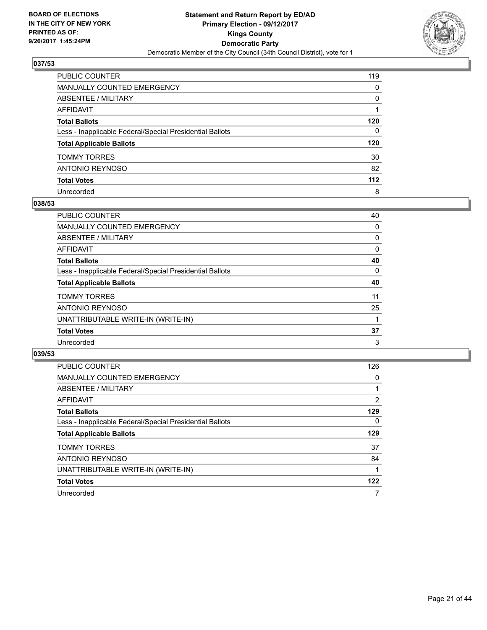

| PUBLIC COUNTER                                           | 119      |
|----------------------------------------------------------|----------|
| MANUALLY COUNTED EMERGENCY                               | $\Omega$ |
| <b>ABSENTEE / MILITARY</b>                               | $\Omega$ |
| <b>AFFIDAVIT</b>                                         |          |
| <b>Total Ballots</b>                                     | 120      |
| Less - Inapplicable Federal/Special Presidential Ballots | 0        |
| <b>Total Applicable Ballots</b>                          | 120      |
| <b>TOMMY TORRES</b>                                      | 30       |
| ANTONIO REYNOSO                                          | 82       |
| <b>Total Votes</b>                                       | 112      |
| Unrecorded                                               | 8        |

#### **038/53**

| PUBLIC COUNTER                                           | 40 |
|----------------------------------------------------------|----|
| <b>MANUALLY COUNTED EMERGENCY</b>                        | 0  |
| ABSENTEE / MILITARY                                      | 0  |
| AFFIDAVIT                                                | 0  |
| <b>Total Ballots</b>                                     | 40 |
| Less - Inapplicable Federal/Special Presidential Ballots | 0  |
| <b>Total Applicable Ballots</b>                          | 40 |
| <b>TOMMY TORRES</b>                                      | 11 |
| ANTONIO REYNOSO                                          | 25 |
| UNATTRIBUTABLE WRITE-IN (WRITE-IN)                       |    |
| <b>Total Votes</b>                                       | 37 |
| Unrecorded                                               | 3  |

| <b>PUBLIC COUNTER</b>                                    | 126      |
|----------------------------------------------------------|----------|
| <b>MANUALLY COUNTED EMERGENCY</b>                        | 0        |
| <b>ABSENTEE / MILITARY</b>                               |          |
| <b>AFFIDAVIT</b>                                         | 2        |
| <b>Total Ballots</b>                                     | 129      |
| Less - Inapplicable Federal/Special Presidential Ballots | $\Omega$ |
| <b>Total Applicable Ballots</b>                          | 129      |
| <b>TOMMY TORRES</b>                                      | 37       |
| <b>ANTONIO REYNOSO</b>                                   | 84       |
| UNATTRIBUTABLE WRITE-IN (WRITE-IN)                       |          |
| <b>Total Votes</b>                                       | 122      |
| Unrecorded                                               | 7        |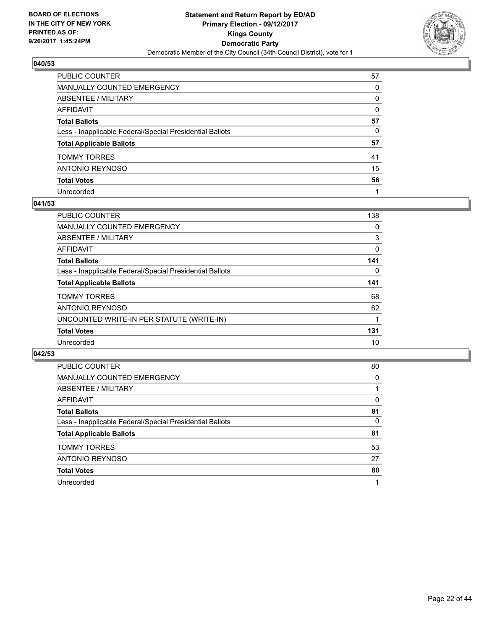

| PUBLIC COUNTER                                           | 57       |
|----------------------------------------------------------|----------|
| MANUALLY COUNTED EMERGENCY                               | 0        |
| ABSENTEE / MILITARY                                      | 0        |
| AFFIDAVIT                                                | $\Omega$ |
| Total Ballots                                            | 57       |
| Less - Inapplicable Federal/Special Presidential Ballots | 0        |
| <b>Total Applicable Ballots</b>                          | 57       |
| TOMMY TORRES                                             | 41       |
| ANTONIO REYNOSO                                          | 15       |
| <b>Total Votes</b>                                       | 56       |
| Unrecorded                                               |          |

#### **041/53**

| <b>PUBLIC COUNTER</b>                                    | 138 |
|----------------------------------------------------------|-----|
| <b>MANUALLY COUNTED EMERGENCY</b>                        | 0   |
| ABSENTEE / MILITARY                                      | 3   |
| AFFIDAVIT                                                | 0   |
| <b>Total Ballots</b>                                     | 141 |
| Less - Inapplicable Federal/Special Presidential Ballots | 0   |
| <b>Total Applicable Ballots</b>                          | 141 |
| <b>TOMMY TORRES</b>                                      | 68  |
| ANTONIO REYNOSO                                          | 62  |
| UNCOUNTED WRITE-IN PER STATUTE (WRITE-IN)                |     |
| <b>Total Votes</b>                                       | 131 |
| Unrecorded                                               | 10  |

| <b>PUBLIC COUNTER</b>                                    | 80 |
|----------------------------------------------------------|----|
| <b>MANUALLY COUNTED EMERGENCY</b>                        | 0  |
| <b>ABSENTEE / MILITARY</b>                               |    |
| <b>AFFIDAVIT</b>                                         | 0  |
| <b>Total Ballots</b>                                     | 81 |
| Less - Inapplicable Federal/Special Presidential Ballots | 0  |
| <b>Total Applicable Ballots</b>                          | 81 |
| <b>TOMMY TORRES</b>                                      | 53 |
| <b>ANTONIO REYNOSO</b>                                   | 27 |
| <b>Total Votes</b>                                       | 80 |
| Unrecorded                                               | 1  |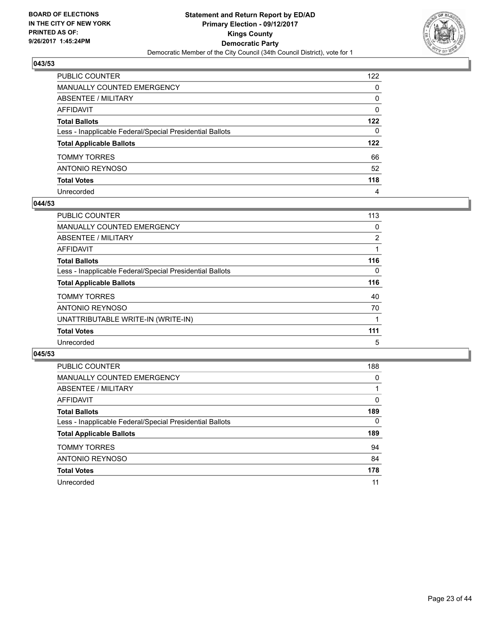

| PUBLIC COUNTER                                           | 122          |
|----------------------------------------------------------|--------------|
| <b>MANUALLY COUNTED EMERGENCY</b>                        | 0            |
| <b>ABSENTEE / MILITARY</b>                               | 0            |
| <b>AFFIDAVIT</b>                                         | $\Omega$     |
| <b>Total Ballots</b>                                     | 122          |
| Less - Inapplicable Federal/Special Presidential Ballots | $\mathbf{0}$ |
| <b>Total Applicable Ballots</b>                          | 122          |
| <b>TOMMY TORRES</b>                                      | 66           |
| <b>ANTONIO REYNOSO</b>                                   | 52           |
| <b>Total Votes</b>                                       | 118          |
| Unrecorded                                               | 4            |

#### **044/53**

| <b>PUBLIC COUNTER</b>                                    | 113            |
|----------------------------------------------------------|----------------|
| MANUALLY COUNTED EMERGENCY                               | 0              |
| ABSENTEE / MILITARY                                      | $\overline{2}$ |
| <b>AFFIDAVIT</b>                                         |                |
| <b>Total Ballots</b>                                     | 116            |
| Less - Inapplicable Federal/Special Presidential Ballots | 0              |
| <b>Total Applicable Ballots</b>                          | 116            |
| <b>TOMMY TORRES</b>                                      | 40             |
| ANTONIO REYNOSO                                          | 70             |
| UNATTRIBUTABLE WRITE-IN (WRITE-IN)                       |                |
| <b>Total Votes</b>                                       | 111            |
| Unrecorded                                               | 5              |

| <b>PUBLIC COUNTER</b>                                    | 188 |
|----------------------------------------------------------|-----|
| <b>MANUALLY COUNTED EMERGENCY</b>                        | 0   |
| ABSENTEE / MILITARY                                      |     |
| AFFIDAVIT                                                | 0   |
| <b>Total Ballots</b>                                     | 189 |
| Less - Inapplicable Federal/Special Presidential Ballots | 0   |
| <b>Total Applicable Ballots</b>                          | 189 |
| <b>TOMMY TORRES</b>                                      | 94  |
| <b>ANTONIO REYNOSO</b>                                   | 84  |
| <b>Total Votes</b>                                       | 178 |
| Unrecorded                                               | 11  |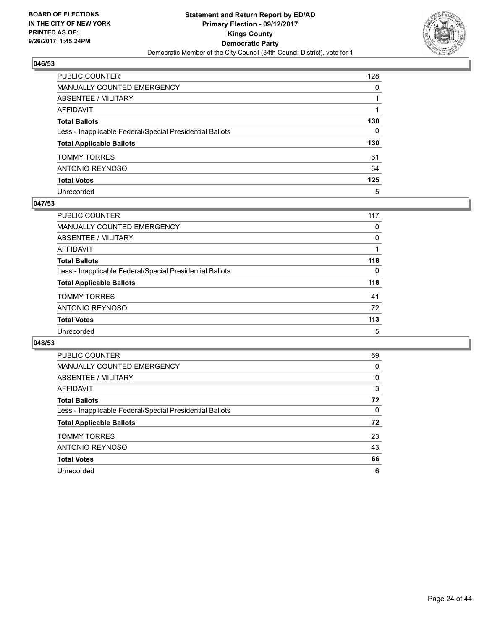

| PUBLIC COUNTER                                           | 128          |
|----------------------------------------------------------|--------------|
| <b>MANUALLY COUNTED EMERGENCY</b>                        | $\Omega$     |
| <b>ABSENTEE / MILITARY</b>                               |              |
| AFFIDAVIT                                                |              |
| <b>Total Ballots</b>                                     | 130          |
| Less - Inapplicable Federal/Special Presidential Ballots | $\mathbf{0}$ |
| <b>Total Applicable Ballots</b>                          | 130          |
| <b>TOMMY TORRES</b>                                      | 61           |
| ANTONIO REYNOSO                                          | 64           |
| <b>Total Votes</b>                                       | 125          |
| Unrecorded                                               | 5            |

#### **047/53**

| <b>PUBLIC COUNTER</b>                                    | 117 |
|----------------------------------------------------------|-----|
| <b>MANUALLY COUNTED EMERGENCY</b>                        | 0   |
| ABSENTEE / MILITARY                                      | 0   |
| AFFIDAVIT                                                |     |
| <b>Total Ballots</b>                                     | 118 |
| Less - Inapplicable Federal/Special Presidential Ballots | 0   |
| <b>Total Applicable Ballots</b>                          | 118 |
| <b>TOMMY TORRES</b>                                      | 41  |
| ANTONIO REYNOSO                                          | 72  |
| <b>Total Votes</b>                                       | 113 |
| Unrecorded                                               | 5   |

| <b>PUBLIC COUNTER</b>                                    | 69 |
|----------------------------------------------------------|----|
| <b>MANUALLY COUNTED EMERGENCY</b>                        | 0  |
| <b>ABSENTEE / MILITARY</b>                               | 0  |
| <b>AFFIDAVIT</b>                                         | 3  |
| <b>Total Ballots</b>                                     | 72 |
| Less - Inapplicable Federal/Special Presidential Ballots | 0  |
| <b>Total Applicable Ballots</b>                          | 72 |
| <b>TOMMY TORRES</b>                                      | 23 |
| <b>ANTONIO REYNOSO</b>                                   | 43 |
| <b>Total Votes</b>                                       | 66 |
| Unrecorded                                               | 6  |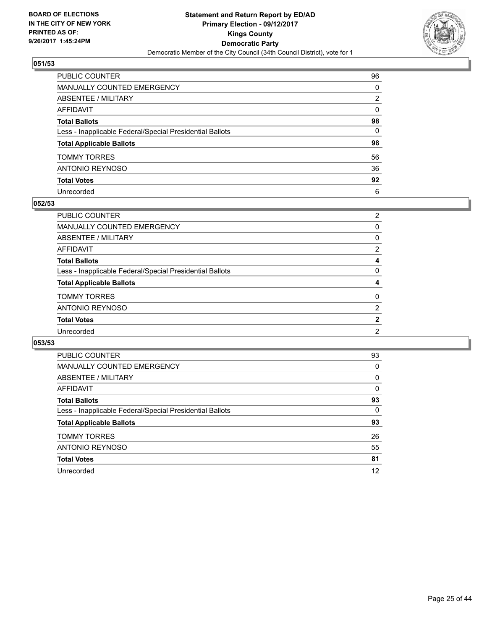

| PUBLIC COUNTER                                           | 96           |
|----------------------------------------------------------|--------------|
| MANUALLY COUNTED EMERGENCY                               | 0            |
| ABSENTEE / MILITARY                                      | 2            |
| AFFIDAVIT                                                | $\mathbf{0}$ |
| Total Ballots                                            | 98           |
| Less - Inapplicable Federal/Special Presidential Ballots | $\mathbf{0}$ |
| <b>Total Applicable Ballots</b>                          | 98           |
| TOMMY TORRES                                             | 56           |
| ANTONIO REYNOSO                                          | 36           |
| <b>Total Votes</b>                                       | 92           |
| Unrecorded                                               | 6            |

#### **052/53**

| <b>PUBLIC COUNTER</b>                                    | $\overline{2}$        |
|----------------------------------------------------------|-----------------------|
| <b>MANUALLY COUNTED EMERGENCY</b>                        | 0                     |
| ABSENTEE / MILITARY                                      | 0                     |
| AFFIDAVIT                                                | $\mathbf{2}^{\prime}$ |
| <b>Total Ballots</b>                                     | 4                     |
| Less - Inapplicable Federal/Special Presidential Ballots | 0                     |
| <b>Total Applicable Ballots</b>                          | 4                     |
| <b>TOMMY TORRES</b>                                      | 0                     |
| ANTONIO REYNOSO                                          | $\overline{2}$        |
| <b>Total Votes</b>                                       | $\mathbf{2}$          |
| Unrecorded                                               | $\overline{2}$        |
|                                                          |                       |

| <b>PUBLIC COUNTER</b>                                    | 93 |
|----------------------------------------------------------|----|
| <b>MANUALLY COUNTED EMERGENCY</b>                        | 0  |
| ABSENTEE / MILITARY                                      | 0  |
| AFFIDAVIT                                                | 0  |
| <b>Total Ballots</b>                                     | 93 |
| Less - Inapplicable Federal/Special Presidential Ballots | 0  |
| <b>Total Applicable Ballots</b>                          | 93 |
| <b>TOMMY TORRES</b>                                      | 26 |
| <b>ANTONIO REYNOSO</b>                                   | 55 |
| <b>Total Votes</b>                                       | 81 |
| Unrecorded                                               | 12 |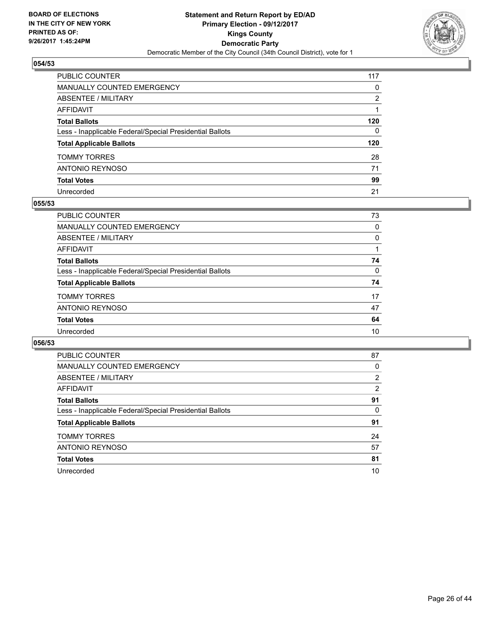

| PUBLIC COUNTER                                           | 117          |
|----------------------------------------------------------|--------------|
| <b>MANUALLY COUNTED EMERGENCY</b>                        | $\mathbf{0}$ |
| <b>ABSENTEE / MILITARY</b>                               | 2            |
| AFFIDAVIT                                                |              |
| <b>Total Ballots</b>                                     | 120          |
| Less - Inapplicable Federal/Special Presidential Ballots | $\mathbf{0}$ |
| <b>Total Applicable Ballots</b>                          | 120          |
| <b>TOMMY TORRES</b>                                      | 28           |
| ANTONIO REYNOSO                                          | 71           |
| <b>Total Votes</b>                                       | 99           |
| Unrecorded                                               | 21           |

#### **055/53**

| PUBLIC COUNTER                                           | 73 |
|----------------------------------------------------------|----|
| <b>MANUALLY COUNTED EMERGENCY</b>                        | 0  |
| ABSENTEE / MILITARY                                      | 0  |
| AFFIDAVIT                                                |    |
| <b>Total Ballots</b>                                     | 74 |
| Less - Inapplicable Federal/Special Presidential Ballots | 0  |
| <b>Total Applicable Ballots</b>                          | 74 |
| <b>TOMMY TORRES</b>                                      | 17 |
| ANTONIO REYNOSO                                          | 47 |
| <b>Total Votes</b>                                       | 64 |
| Unrecorded                                               | 10 |
|                                                          |    |

| <b>PUBLIC COUNTER</b>                                    | 87 |
|----------------------------------------------------------|----|
| MANUALLY COUNTED EMERGENCY                               | 0  |
| ABSENTEE / MILITARY                                      | 2  |
| AFFIDAVIT                                                | 2  |
| <b>Total Ballots</b>                                     | 91 |
| Less - Inapplicable Federal/Special Presidential Ballots | 0  |
| <b>Total Applicable Ballots</b>                          | 91 |
| <b>TOMMY TORRES</b>                                      | 24 |
| ANTONIO REYNOSO                                          | 57 |
| <b>Total Votes</b>                                       | 81 |
| Unrecorded                                               | 10 |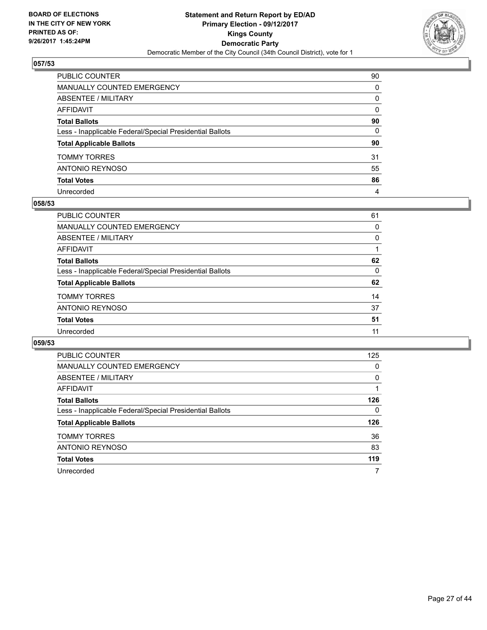

| PUBLIC COUNTER                                           | 90           |
|----------------------------------------------------------|--------------|
| MANUALLY COUNTED EMERGENCY                               | 0            |
| ABSENTEE / MILITARY                                      | 0            |
| AFFIDAVIT                                                | $\mathbf{0}$ |
| Total Ballots                                            | 90           |
| Less - Inapplicable Federal/Special Presidential Ballots | $\mathbf{0}$ |
| <b>Total Applicable Ballots</b>                          | 90           |
| TOMMY TORRES                                             | 31           |
| ANTONIO REYNOSO                                          | 55           |
| <b>Total Votes</b>                                       | 86           |
| Unrecorded                                               | 4            |

#### **058/53**

| PUBLIC COUNTER                                           | 61 |
|----------------------------------------------------------|----|
| MANUALLY COUNTED EMERGENCY                               | 0  |
| ABSENTEE / MILITARY                                      | 0  |
| AFFIDAVIT                                                |    |
| <b>Total Ballots</b>                                     | 62 |
| Less - Inapplicable Federal/Special Presidential Ballots | 0  |
| <b>Total Applicable Ballots</b>                          | 62 |
| <b>TOMMY TORRES</b>                                      | 14 |
| <b>ANTONIO REYNOSO</b>                                   | 37 |
| <b>Total Votes</b>                                       | 51 |
| Unrecorded                                               | 11 |
|                                                          |    |

| PUBLIC COUNTER                                           | 125 |
|----------------------------------------------------------|-----|
| <b>MANUALLY COUNTED EMERGENCY</b>                        | 0   |
| ABSENTEE / MILITARY                                      | 0   |
| AFFIDAVIT                                                |     |
| <b>Total Ballots</b>                                     | 126 |
| Less - Inapplicable Federal/Special Presidential Ballots | 0   |
| <b>Total Applicable Ballots</b>                          | 126 |
| <b>TOMMY TORRES</b>                                      | 36  |
| <b>ANTONIO REYNOSO</b>                                   | 83  |
| <b>Total Votes</b>                                       | 119 |
| Unrecorded                                               | 7   |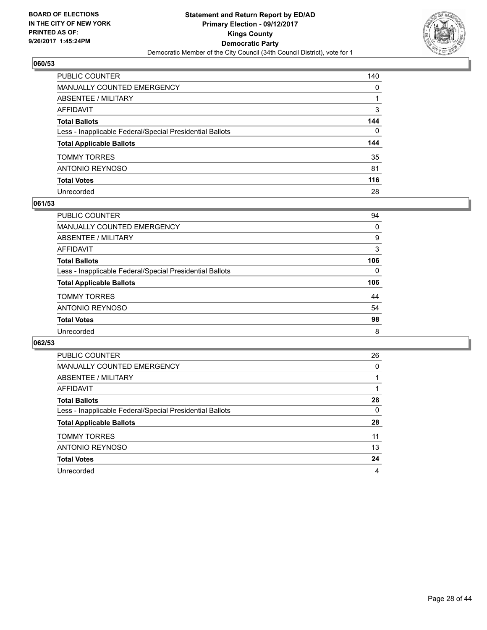

| PUBLIC COUNTER                                           | 140 |
|----------------------------------------------------------|-----|
| <b>MANUALLY COUNTED EMERGENCY</b>                        | 0   |
| <b>ABSENTEE / MILITARY</b>                               |     |
| <b>AFFIDAVIT</b>                                         | 3   |
| <b>Total Ballots</b>                                     | 144 |
| Less - Inapplicable Federal/Special Presidential Ballots | 0   |
| <b>Total Applicable Ballots</b>                          | 144 |
| <b>TOMMY TORRES</b>                                      | 35  |
| <b>ANTONIO REYNOSO</b>                                   | 81  |
| <b>Total Votes</b>                                       | 116 |
| Unrecorded                                               | 28  |

#### **061/53**

| PUBLIC COUNTER                                           | 94       |
|----------------------------------------------------------|----------|
| <b>MANUALLY COUNTED EMERGENCY</b>                        | 0        |
| ABSENTEE / MILITARY                                      | 9        |
| AFFIDAVIT                                                | 3        |
| <b>Total Ballots</b>                                     | 106      |
| Less - Inapplicable Federal/Special Presidential Ballots | $\Omega$ |
| <b>Total Applicable Ballots</b>                          | 106      |
| <b>TOMMY TORRES</b>                                      | 44       |
| ANTONIO REYNOSO                                          | 54       |
| <b>Total Votes</b>                                       | 98       |
| Unrecorded                                               | 8        |

| <b>PUBLIC COUNTER</b>                                    | 26 |
|----------------------------------------------------------|----|
| <b>MANUALLY COUNTED EMERGENCY</b>                        | 0  |
| ABSENTEE / MILITARY                                      |    |
| AFFIDAVIT                                                |    |
| <b>Total Ballots</b>                                     | 28 |
| Less - Inapplicable Federal/Special Presidential Ballots | 0  |
| <b>Total Applicable Ballots</b>                          | 28 |
| <b>TOMMY TORRES</b>                                      | 11 |
| ANTONIO REYNOSO                                          | 13 |
| <b>Total Votes</b>                                       | 24 |
| Unrecorded                                               | 4  |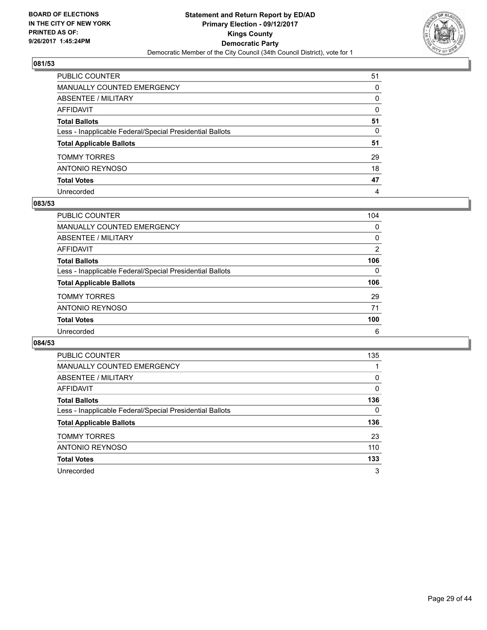

| PUBLIC COUNTER                                           | 51       |
|----------------------------------------------------------|----------|
| MANUALLY COUNTED EMERGENCY                               | 0        |
| ABSENTEE / MILITARY                                      | 0        |
| AFFIDAVIT                                                | $\Omega$ |
| Total Ballots                                            | 51       |
| Less - Inapplicable Federal/Special Presidential Ballots | 0        |
| <b>Total Applicable Ballots</b>                          | 51       |
| TOMMY TORRES                                             | 29       |
| ANTONIO REYNOSO                                          | 18       |
| <b>Total Votes</b>                                       | 47       |
| Unrecorded                                               | 4        |

#### **083/53**

| PUBLIC COUNTER                                           | 104 |
|----------------------------------------------------------|-----|
| <b>MANUALLY COUNTED EMERGENCY</b>                        | 0   |
| ABSENTEE / MILITARY                                      | 0   |
| AFFIDAVIT                                                | 2   |
| <b>Total Ballots</b>                                     | 106 |
| Less - Inapplicable Federal/Special Presidential Ballots | 0   |
| <b>Total Applicable Ballots</b>                          | 106 |
| <b>TOMMY TORRES</b>                                      | 29  |
| ANTONIO REYNOSO                                          | 71  |
| <b>Total Votes</b>                                       | 100 |
| Unrecorded                                               | 6   |

| <b>PUBLIC COUNTER</b>                                    | 135 |
|----------------------------------------------------------|-----|
| <b>MANUALLY COUNTED EMERGENCY</b>                        |     |
| ABSENTEE / MILITARY                                      | 0   |
| AFFIDAVIT                                                | 0   |
| <b>Total Ballots</b>                                     | 136 |
| Less - Inapplicable Federal/Special Presidential Ballots | 0   |
| <b>Total Applicable Ballots</b>                          | 136 |
| <b>TOMMY TORRES</b>                                      | 23  |
| ANTONIO REYNOSO                                          | 110 |
| <b>Total Votes</b>                                       | 133 |
| Unrecorded                                               | 3   |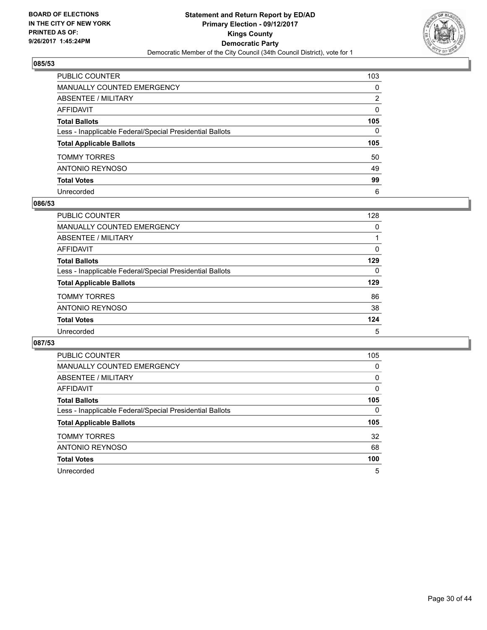

| PUBLIC COUNTER                                           | 103          |
|----------------------------------------------------------|--------------|
| <b>MANUALLY COUNTED EMERGENCY</b>                        | $\mathbf{0}$ |
| ABSENTEE / MILITARY                                      | 2            |
| AFFIDAVIT                                                | $\Omega$     |
| <b>Total Ballots</b>                                     | 105          |
| Less - Inapplicable Federal/Special Presidential Ballots | $\mathbf{0}$ |
| <b>Total Applicable Ballots</b>                          | 105          |
| <b>TOMMY TORRES</b>                                      | 50           |
| ANTONIO REYNOSO                                          | 49           |
| <b>Total Votes</b>                                       | 99           |
| Unrecorded                                               | 6            |

#### **086/53**

| <b>PUBLIC COUNTER</b>                                    | 128 |
|----------------------------------------------------------|-----|
| <b>MANUALLY COUNTED EMERGENCY</b>                        | 0   |
| ABSENTEE / MILITARY                                      |     |
| AFFIDAVIT                                                | 0   |
| <b>Total Ballots</b>                                     | 129 |
| Less - Inapplicable Federal/Special Presidential Ballots | 0   |
| <b>Total Applicable Ballots</b>                          | 129 |
| <b>TOMMY TORRES</b>                                      | 86  |
| ANTONIO REYNOSO                                          | 38  |
| <b>Total Votes</b>                                       | 124 |
| Unrecorded                                               | 5   |

| <b>PUBLIC COUNTER</b>                                    | 105 |
|----------------------------------------------------------|-----|
| <b>MANUALLY COUNTED EMERGENCY</b>                        | 0   |
| <b>ABSENTEE / MILITARY</b>                               | 0   |
| <b>AFFIDAVIT</b>                                         | 0   |
| <b>Total Ballots</b>                                     | 105 |
| Less - Inapplicable Federal/Special Presidential Ballots | 0   |
| <b>Total Applicable Ballots</b>                          | 105 |
| <b>TOMMY TORRES</b>                                      | 32  |
| <b>ANTONIO REYNOSO</b>                                   | 68  |
|                                                          |     |
| <b>Total Votes</b>                                       | 100 |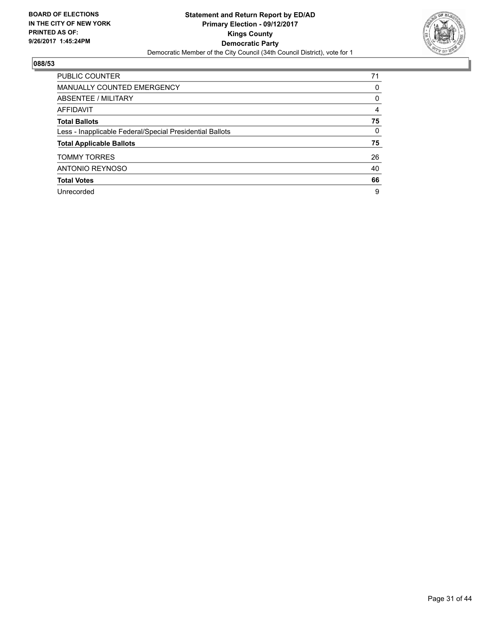

| <b>PUBLIC COUNTER</b>                                    | 71 |
|----------------------------------------------------------|----|
| <b>MANUALLY COUNTED EMERGENCY</b>                        | 0  |
| ABSENTEE / MILITARY                                      | 0  |
| AFFIDAVIT                                                | 4  |
| <b>Total Ballots</b>                                     | 75 |
| Less - Inapplicable Federal/Special Presidential Ballots | 0  |
| <b>Total Applicable Ballots</b>                          | 75 |
| <b>TOMMY TORRES</b>                                      | 26 |
| <b>ANTONIO REYNOSO</b>                                   | 40 |
| <b>Total Votes</b>                                       | 66 |
| Unrecorded                                               | 9  |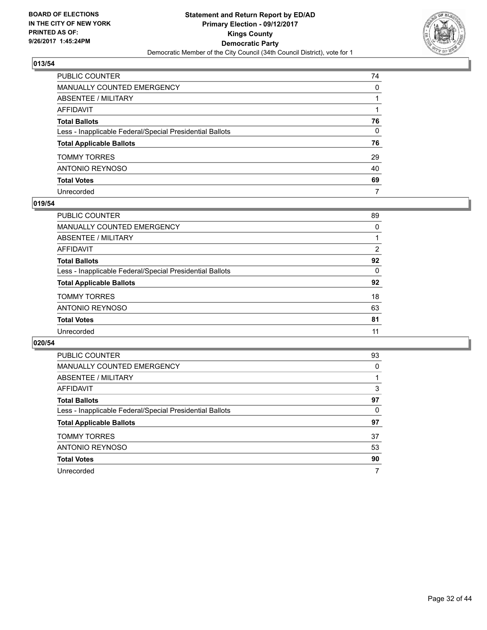

| PUBLIC COUNTER                                           | 74 |
|----------------------------------------------------------|----|
| MANUALLY COUNTED EMERGENCY                               | 0  |
| ABSENTEE / MILITARY                                      |    |
| AFFIDAVIT                                                |    |
| Total Ballots                                            | 76 |
| Less - Inapplicable Federal/Special Presidential Ballots | 0  |
| <b>Total Applicable Ballots</b>                          | 76 |
| TOMMY TORRES                                             | 29 |
| ANTONIO REYNOSO                                          | 40 |
| <b>Total Votes</b>                                       | 69 |
| Unrecorded                                               | 7  |

#### **019/54**

| PUBLIC COUNTER                                           | 89 |
|----------------------------------------------------------|----|
| MANUALLY COUNTED EMERGENCY                               | 0  |
| ABSENTEE / MILITARY                                      |    |
| AFFIDAVIT                                                | 2  |
| <b>Total Ballots</b>                                     | 92 |
| Less - Inapplicable Federal/Special Presidential Ballots | 0  |
| <b>Total Applicable Ballots</b>                          | 92 |
| <b>TOMMY TORRES</b>                                      | 18 |
| <b>ANTONIO REYNOSO</b>                                   | 63 |
| <b>Total Votes</b>                                       | 81 |
| Unrecorded                                               | 11 |
|                                                          |    |

| <b>PUBLIC COUNTER</b>                                    | 93 |
|----------------------------------------------------------|----|
| <b>MANUALLY COUNTED EMERGENCY</b>                        | 0  |
| <b>ABSENTEE / MILITARY</b>                               |    |
| <b>AFFIDAVIT</b>                                         | 3  |
| <b>Total Ballots</b>                                     | 97 |
| Less - Inapplicable Federal/Special Presidential Ballots | 0  |
| <b>Total Applicable Ballots</b>                          | 97 |
| <b>TOMMY TORRES</b>                                      | 37 |
| <b>ANTONIO REYNOSO</b>                                   | 53 |
| <b>Total Votes</b>                                       | 90 |
| Unrecorded                                               |    |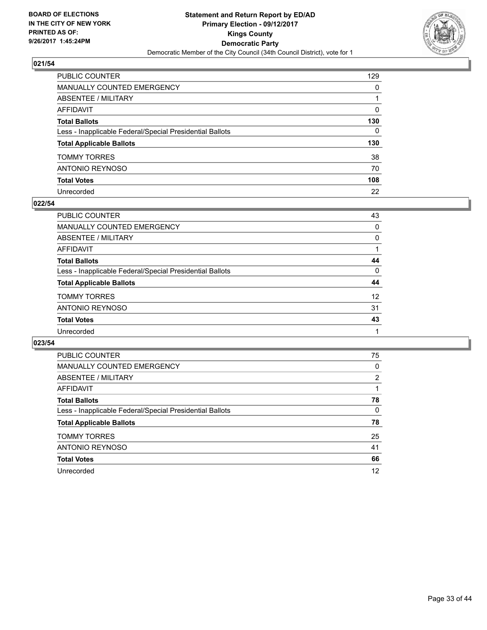

| PUBLIC COUNTER                                           | 129          |
|----------------------------------------------------------|--------------|
| <b>MANUALLY COUNTED EMERGENCY</b>                        | $\Omega$     |
| <b>ABSENTEE / MILITARY</b>                               |              |
| <b>AFFIDAVIT</b>                                         | $\Omega$     |
| <b>Total Ballots</b>                                     | 130          |
| Less - Inapplicable Federal/Special Presidential Ballots | $\mathbf{0}$ |
| <b>Total Applicable Ballots</b>                          | 130          |
| <b>TOMMY TORRES</b>                                      | 38           |
| <b>ANTONIO REYNOSO</b>                                   | 70           |
| <b>Total Votes</b>                                       | 108          |
| Unrecorded                                               | 22           |

#### **022/54**

| PUBLIC COUNTER                                           | 43       |
|----------------------------------------------------------|----------|
| MANUALLY COUNTED EMERGENCY                               | 0        |
| ABSENTEE / MILITARY                                      | 0        |
| AFFIDAVIT                                                |          |
| <b>Total Ballots</b>                                     | 44       |
| Less - Inapplicable Federal/Special Presidential Ballots | $\Omega$ |
| <b>Total Applicable Ballots</b>                          | 44       |
| <b>TOMMY TORRES</b>                                      | 12       |
| ANTONIO REYNOSO                                          | 31       |
| <b>Total Votes</b>                                       | 43       |
| Unrecorded                                               |          |

| <b>PUBLIC COUNTER</b>                                    | 75 |
|----------------------------------------------------------|----|
| <b>MANUALLY COUNTED EMERGENCY</b>                        | 0  |
| ABSENTEE / MILITARY                                      | 2  |
| <b>AFFIDAVIT</b>                                         |    |
| <b>Total Ballots</b>                                     | 78 |
| Less - Inapplicable Federal/Special Presidential Ballots | 0  |
| <b>Total Applicable Ballots</b>                          | 78 |
| <b>TOMMY TORRES</b>                                      | 25 |
| <b>ANTONIO REYNOSO</b>                                   | 41 |
| <b>Total Votes</b>                                       | 66 |
| Unrecorded                                               | 12 |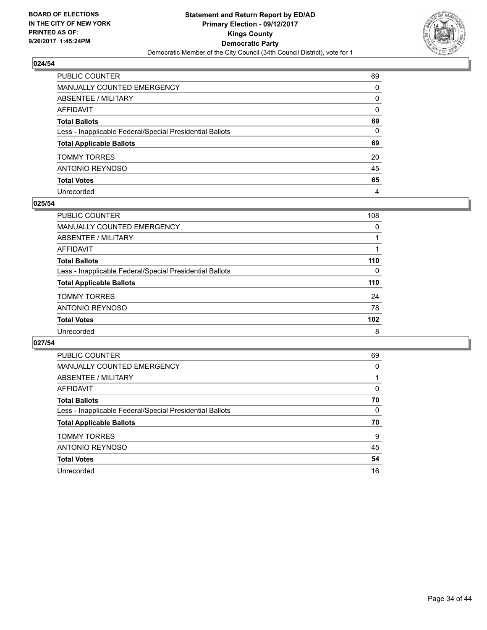

| PUBLIC COUNTER                                           | 69       |
|----------------------------------------------------------|----------|
| MANUALLY COUNTED EMERGENCY                               | $\Omega$ |
| <b>ABSENTEE / MILITARY</b>                               | $\Omega$ |
| <b>AFFIDAVIT</b>                                         | $\Omega$ |
| <b>Total Ballots</b>                                     | 69       |
| Less - Inapplicable Federal/Special Presidential Ballots | 0        |
| <b>Total Applicable Ballots</b>                          | 69       |
| <b>TOMMY TORRES</b>                                      | 20       |
| ANTONIO REYNOSO                                          | 45       |
| <b>Total Votes</b>                                       | 65       |
| Unrecorded                                               | 4        |

#### **025/54**

| PUBLIC COUNTER                                           | 108      |
|----------------------------------------------------------|----------|
| <b>MANUALLY COUNTED EMERGENCY</b>                        | 0        |
| ABSENTEE / MILITARY                                      |          |
| AFFIDAVIT                                                |          |
| <b>Total Ballots</b>                                     | 110      |
| Less - Inapplicable Federal/Special Presidential Ballots | $\Omega$ |
| <b>Total Applicable Ballots</b>                          | 110      |
| <b>TOMMY TORRES</b>                                      | 24       |
| ANTONIO REYNOSO                                          | 78       |
| <b>Total Votes</b>                                       | 102      |
| Unrecorded                                               | 8        |

| <b>PUBLIC COUNTER</b>                                    | 69 |
|----------------------------------------------------------|----|
| <b>MANUALLY COUNTED EMERGENCY</b>                        | 0  |
| ABSENTEE / MILITARY                                      |    |
| AFFIDAVIT                                                | 0  |
| <b>Total Ballots</b>                                     | 70 |
| Less - Inapplicable Federal/Special Presidential Ballots | 0  |
| <b>Total Applicable Ballots</b>                          | 70 |
| <b>TOMMY TORRES</b>                                      | 9  |
| ANTONIO REYNOSO                                          | 45 |
| <b>Total Votes</b>                                       | 54 |
| Unrecorded                                               | 16 |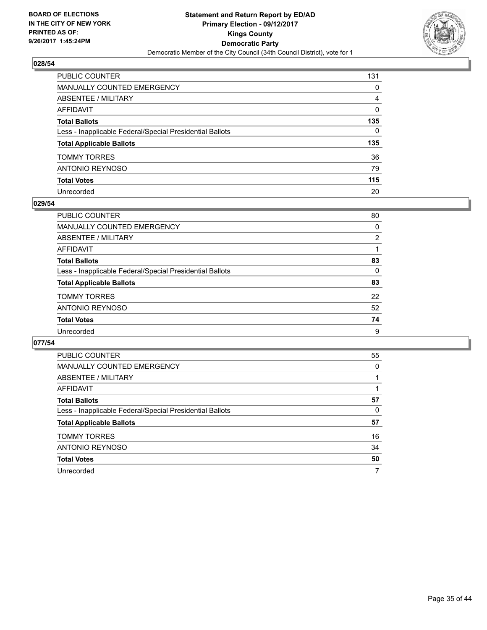

| PUBLIC COUNTER                                           | 131          |
|----------------------------------------------------------|--------------|
| MANUALLY COUNTED EMERGENCY                               | 0            |
| ABSENTEE / MILITARY                                      | 4            |
| AFFIDAVIT                                                | $\mathbf{0}$ |
| Total Ballots                                            | 135          |
| Less - Inapplicable Federal/Special Presidential Ballots | $\Omega$     |
| <b>Total Applicable Ballots</b>                          | 135          |
| TOMMY TORRES                                             | 36           |
| ANTONIO REYNOSO                                          | 79           |
| <b>Total Votes</b>                                       | 115          |
| Unrecorded                                               | 20           |

#### **029/54**

| PUBLIC COUNTER                                           | 80             |
|----------------------------------------------------------|----------------|
| MANUALLY COUNTED EMERGENCY                               | 0              |
| ABSENTEE / MILITARY                                      | $\overline{2}$ |
| AFFIDAVIT                                                |                |
| <b>Total Ballots</b>                                     | 83             |
| Less - Inapplicable Federal/Special Presidential Ballots | 0              |
| <b>Total Applicable Ballots</b>                          | 83             |
| <b>TOMMY TORRES</b>                                      | 22             |
| ANTONIO REYNOSO                                          | 52             |
| <b>Total Votes</b>                                       | 74             |
| Unrecorded                                               | 9              |

| <b>PUBLIC COUNTER</b>                                    | 55 |
|----------------------------------------------------------|----|
| <b>MANUALLY COUNTED EMERGENCY</b>                        | 0  |
| <b>ABSENTEE / MILITARY</b>                               |    |
| <b>AFFIDAVIT</b>                                         |    |
| <b>Total Ballots</b>                                     | 57 |
| Less - Inapplicable Federal/Special Presidential Ballots | 0  |
| <b>Total Applicable Ballots</b>                          | 57 |
| <b>TOMMY TORRES</b>                                      | 16 |
| <b>ANTONIO REYNOSO</b>                                   | 34 |
| <b>Total Votes</b>                                       | 50 |
| Unrecorded                                               |    |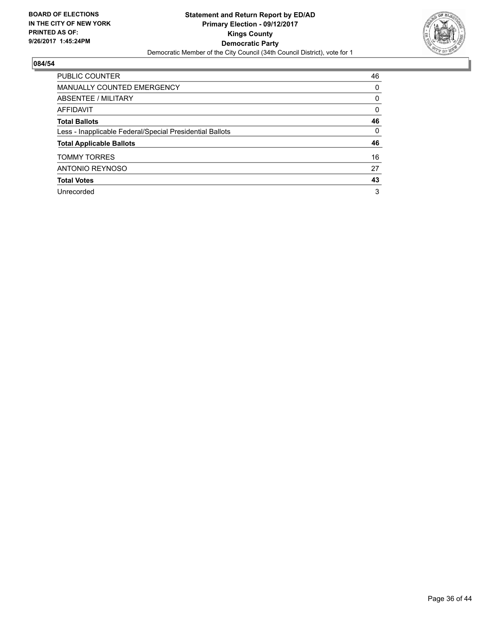

| <b>PUBLIC COUNTER</b>                                    | 46 |
|----------------------------------------------------------|----|
| <b>MANUALLY COUNTED EMERGENCY</b>                        | 0  |
| ABSENTEE / MILITARY                                      | 0  |
| <b>AFFIDAVIT</b>                                         | 0  |
| <b>Total Ballots</b>                                     | 46 |
| Less - Inapplicable Federal/Special Presidential Ballots | 0  |
| <b>Total Applicable Ballots</b>                          | 46 |
| <b>TOMMY TORRES</b>                                      | 16 |
| <b>ANTONIO REYNOSO</b>                                   | 27 |
| <b>Total Votes</b>                                       | 43 |
| Unrecorded                                               | 3  |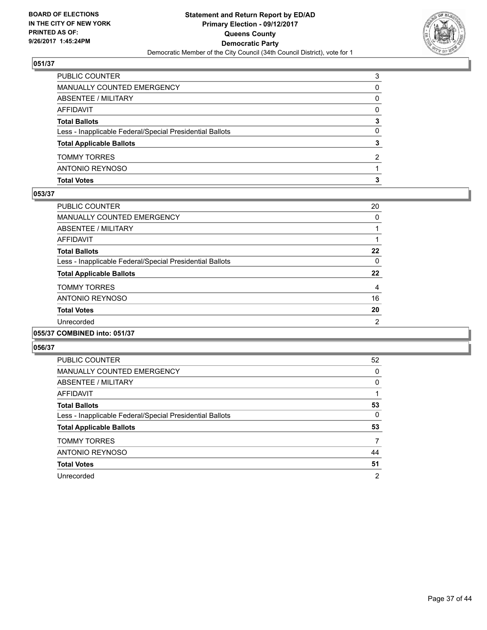

| <b>Total Votes</b>                                       | з |
|----------------------------------------------------------|---|
| ANTONIO REYNOSO                                          |   |
| <b>TOMMY TORRES</b>                                      | 2 |
| <b>Total Applicable Ballots</b>                          | 3 |
| Less - Inapplicable Federal/Special Presidential Ballots | 0 |
| <b>Total Ballots</b>                                     | 3 |
| AFFIDAVIT                                                | 0 |
| <b>ABSENTEE / MILITARY</b>                               | 0 |
| MANUALLY COUNTED EMERGENCY                               | 0 |
| PUBLIC COUNTER                                           | 3 |

#### **053/37**

| <b>PUBLIC COUNTER</b>                                    | 20             |
|----------------------------------------------------------|----------------|
| <b>MANUALLY COUNTED EMERGENCY</b>                        | 0              |
| ABSENTEE / MILITARY                                      |                |
| <b>AFFIDAVIT</b>                                         |                |
| <b>Total Ballots</b>                                     | 22             |
| Less - Inapplicable Federal/Special Presidential Ballots | 0              |
| <b>Total Applicable Ballots</b>                          | 22             |
| <b>TOMMY TORRES</b>                                      | $\overline{4}$ |
| <b>ANTONIO REYNOSO</b>                                   | 16             |
| <b>Total Votes</b>                                       | 20             |
| Unrecorded                                               | 2              |
| 055/37 COMBINED into: 051/37                             |                |

| <b>PUBLIC COUNTER</b>                                    | 52             |
|----------------------------------------------------------|----------------|
| <b>MANUALLY COUNTED EMERGENCY</b>                        | 0              |
| <b>ABSENTEE / MILITARY</b>                               | 0              |
| <b>AFFIDAVIT</b>                                         |                |
| <b>Total Ballots</b>                                     | 53             |
| Less - Inapplicable Federal/Special Presidential Ballots | 0              |
| <b>Total Applicable Ballots</b>                          | 53             |
| <b>TOMMY TORRES</b>                                      | 7              |
| <b>ANTONIO REYNOSO</b>                                   | 44             |
| <b>Total Votes</b>                                       | 51             |
| Unrecorded                                               | $\overline{2}$ |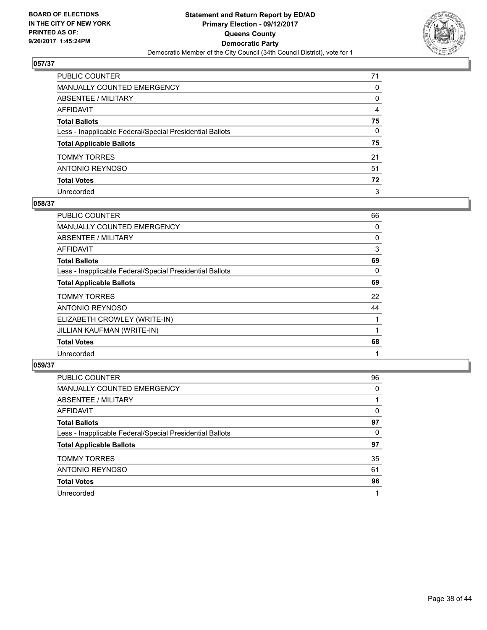

| PUBLIC COUNTER                                           | 71 |
|----------------------------------------------------------|----|
| MANUALLY COUNTED EMERGENCY                               | 0  |
| ABSENTEE / MILITARY                                      | 0  |
| AFFIDAVIT                                                | 4  |
| Total Ballots                                            | 75 |
| Less - Inapplicable Federal/Special Presidential Ballots | 0  |
| <b>Total Applicable Ballots</b>                          | 75 |
| TOMMY TORRES                                             | 21 |
| ANTONIO REYNOSO                                          | 51 |
| <b>Total Votes</b>                                       | 72 |
| Unrecorded                                               | 3  |

## **058/37**

| <b>PUBLIC COUNTER</b>                                    | 66 |
|----------------------------------------------------------|----|
| <b>MANUALLY COUNTED EMERGENCY</b>                        | 0  |
| ABSENTEE / MILITARY                                      | 0  |
| AFFIDAVIT                                                | 3  |
| <b>Total Ballots</b>                                     | 69 |
| Less - Inapplicable Federal/Special Presidential Ballots | 0  |
| <b>Total Applicable Ballots</b>                          | 69 |
| <b>TOMMY TORRES</b>                                      | 22 |
| ANTONIO REYNOSO                                          | 44 |
| ELIZABETH CROWLEY (WRITE-IN)                             |    |
| JILLIAN KAUFMAN (WRITE-IN)                               |    |
| <b>Total Votes</b>                                       | 68 |
| Unrecorded                                               |    |

| PUBLIC COUNTER                                           | 96 |
|----------------------------------------------------------|----|
| <b>MANUALLY COUNTED EMERGENCY</b>                        | 0  |
| ABSENTEE / MILITARY                                      |    |
| AFFIDAVIT                                                | 0  |
| <b>Total Ballots</b>                                     | 97 |
| Less - Inapplicable Federal/Special Presidential Ballots | 0  |
| <b>Total Applicable Ballots</b>                          | 97 |
| <b>TOMMY TORRES</b>                                      | 35 |
| ANTONIO REYNOSO                                          | 61 |
| <b>Total Votes</b>                                       | 96 |
| Unrecorded                                               |    |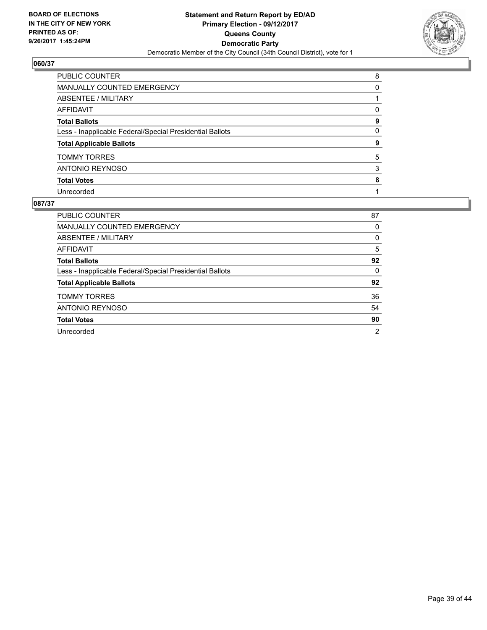

| PUBLIC COUNTER                                           | 8        |
|----------------------------------------------------------|----------|
| MANUALLY COUNTED EMERGENCY                               | 0        |
| <b>ABSENTEE / MILITARY</b>                               |          |
| <b>AFFIDAVIT</b>                                         | $\Omega$ |
| <b>Total Ballots</b>                                     | 9        |
| Less - Inapplicable Federal/Special Presidential Ballots | 0        |
| <b>Total Applicable Ballots</b>                          | 9        |
| <b>TOMMY TORRES</b>                                      | 5        |
| <b>ANTONIO REYNOSO</b>                                   | 3        |
| <b>Total Votes</b>                                       | 8        |
| Unrecorded                                               |          |

| <b>PUBLIC COUNTER</b>                                    | 87             |
|----------------------------------------------------------|----------------|
| MANUALLY COUNTED EMERGENCY                               | 0              |
| ABSENTEE / MILITARY                                      | 0              |
| AFFIDAVIT                                                | 5              |
| <b>Total Ballots</b>                                     | 92             |
| Less - Inapplicable Federal/Special Presidential Ballots | 0              |
| <b>Total Applicable Ballots</b>                          | 92             |
| <b>TOMMY TORRES</b>                                      | 36             |
| ANTONIO REYNOSO                                          | 54             |
| <b>Total Votes</b>                                       | 90             |
| Unrecorded                                               | $\overline{2}$ |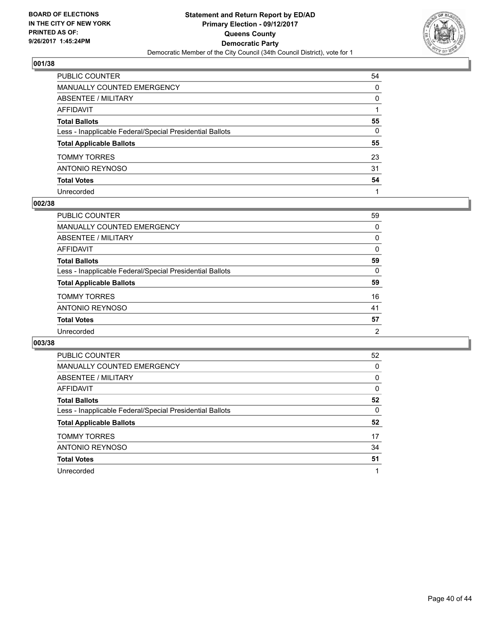

| PUBLIC COUNTER                                           | 54           |
|----------------------------------------------------------|--------------|
| MANUALLY COUNTED EMERGENCY                               | 0            |
| ABSENTEE / MILITARY                                      | $\mathbf{0}$ |
| AFFIDAVIT                                                |              |
| Total Ballots                                            | 55           |
| Less - Inapplicable Federal/Special Presidential Ballots | 0            |
| <b>Total Applicable Ballots</b>                          | 55           |
| TOMMY TORRES                                             | 23           |
| ANTONIO REYNOSO                                          | 31           |
| <b>Total Votes</b>                                       | 54           |
| Unrecorded                                               |              |

#### **002/38**

| PUBLIC COUNTER                                           | 59             |
|----------------------------------------------------------|----------------|
| MANUALLY COUNTED EMERGENCY                               | 0              |
| ABSENTEE / MILITARY                                      | 0              |
| AFFIDAVIT                                                | 0              |
| <b>Total Ballots</b>                                     | 59             |
| Less - Inapplicable Federal/Special Presidential Ballots | 0              |
| <b>Total Applicable Ballots</b>                          | 59             |
| <b>TOMMY TORRES</b>                                      | 16             |
| ANTONIO REYNOSO                                          | 41             |
| <b>Total Votes</b>                                       | 57             |
| Unrecorded                                               | $\overline{2}$ |

| <b>PUBLIC COUNTER</b>                                    | 52 |
|----------------------------------------------------------|----|
| <b>MANUALLY COUNTED EMERGENCY</b>                        | 0  |
| <b>ABSENTEE / MILITARY</b>                               | 0  |
| <b>AFFIDAVIT</b>                                         | 0  |
| <b>Total Ballots</b>                                     | 52 |
| Less - Inapplicable Federal/Special Presidential Ballots | 0  |
| <b>Total Applicable Ballots</b>                          | 52 |
| <b>TOMMY TORRES</b>                                      | 17 |
| <b>ANTONIO REYNOSO</b>                                   | 34 |
| <b>Total Votes</b>                                       | 51 |
| Unrecorded                                               |    |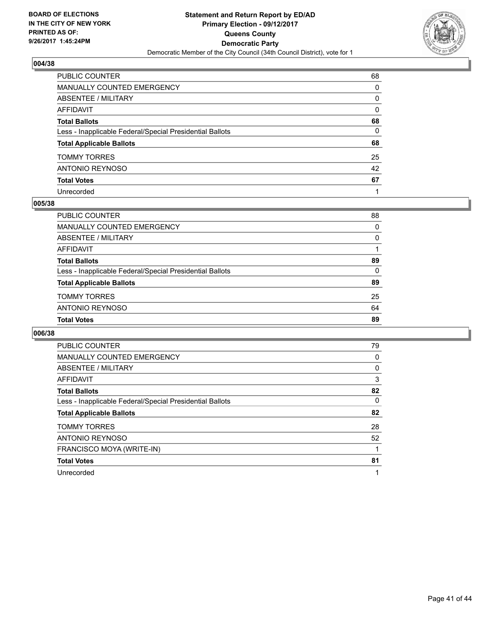

| PUBLIC COUNTER                                           | 68       |
|----------------------------------------------------------|----------|
| MANUALLY COUNTED EMERGENCY                               | $\Omega$ |
| <b>ABSENTEE / MILITARY</b>                               | $\Omega$ |
| <b>AFFIDAVIT</b>                                         | $\Omega$ |
| <b>Total Ballots</b>                                     | 68       |
| Less - Inapplicable Federal/Special Presidential Ballots | 0        |
| <b>Total Applicable Ballots</b>                          | 68       |
| <b>TOMMY TORRES</b>                                      | 25       |
| ANTONIO REYNOSO                                          | 42       |
| <b>Total Votes</b>                                       | 67       |
| Unrecorded                                               |          |

#### **005/38**

| PUBLIC COUNTER                                           | 88 |
|----------------------------------------------------------|----|
| MANUALLY COUNTED EMERGENCY                               | 0  |
| ABSENTEE / MILITARY                                      | 0  |
| AFFIDAVIT                                                |    |
| <b>Total Ballots</b>                                     | 89 |
| Less - Inapplicable Federal/Special Presidential Ballots | 0  |
| <b>Total Applicable Ballots</b>                          | 89 |
| <b>TOMMY TORRES</b>                                      | 25 |
| ANTONIO REYNOSO                                          | 64 |
| <b>Total Votes</b>                                       | 89 |

| <b>PUBLIC COUNTER</b>                                    | 79 |
|----------------------------------------------------------|----|
| MANUALLY COUNTED EMERGENCY                               | 0  |
| ABSENTEE / MILITARY                                      | 0  |
| AFFIDAVIT                                                | 3  |
| <b>Total Ballots</b>                                     | 82 |
| Less - Inapplicable Federal/Special Presidential Ballots | 0  |
| <b>Total Applicable Ballots</b>                          | 82 |
| <b>TOMMY TORRES</b>                                      | 28 |
| ANTONIO REYNOSO                                          | 52 |
| FRANCISCO MOYA (WRITE-IN)                                |    |
| <b>Total Votes</b>                                       | 81 |
| Unrecorded                                               |    |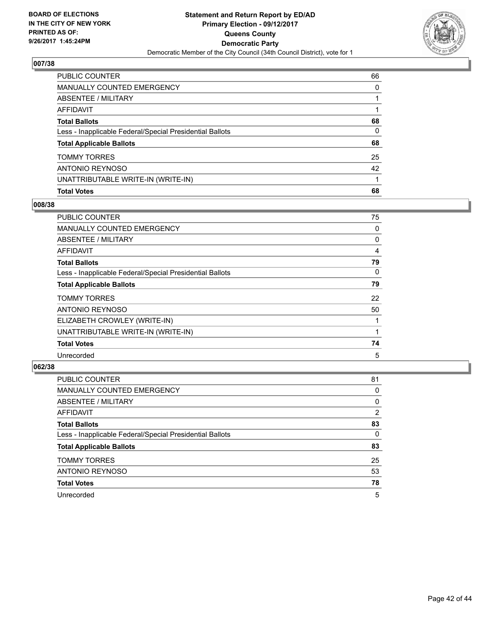

| PUBLIC COUNTER                                           | 66 |
|----------------------------------------------------------|----|
| <b>MANUALLY COUNTED EMERGENCY</b>                        | 0  |
| <b>ABSENTEE / MILITARY</b>                               |    |
| <b>AFFIDAVIT</b>                                         |    |
| <b>Total Ballots</b>                                     | 68 |
| Less - Inapplicable Federal/Special Presidential Ballots | 0  |
| <b>Total Applicable Ballots</b>                          | 68 |
| <b>TOMMY TORRES</b>                                      | 25 |
| <b>ANTONIO REYNOSO</b>                                   | 42 |
| UNATTRIBUTABLE WRITE-IN (WRITE-IN)                       |    |
| <b>Total Votes</b>                                       | 68 |

## **008/38**

| <b>PUBLIC COUNTER</b>                                    | 75 |
|----------------------------------------------------------|----|
| <b>MANUALLY COUNTED EMERGENCY</b>                        | 0  |
| ABSENTEE / MILITARY                                      | 0  |
| AFFIDAVIT                                                | 4  |
| <b>Total Ballots</b>                                     | 79 |
| Less - Inapplicable Federal/Special Presidential Ballots | 0  |
| <b>Total Applicable Ballots</b>                          | 79 |
| <b>TOMMY TORRES</b>                                      | 22 |
| ANTONIO REYNOSO                                          | 50 |
| ELIZABETH CROWLEY (WRITE-IN)                             |    |
| UNATTRIBUTABLE WRITE-IN (WRITE-IN)                       |    |
| <b>Total Votes</b>                                       | 74 |
| Unrecorded                                               | 5  |

| <b>PUBLIC COUNTER</b>                                    | 81 |
|----------------------------------------------------------|----|
| <b>MANUALLY COUNTED EMERGENCY</b>                        | 0  |
| ABSENTEE / MILITARY                                      | 0  |
| AFFIDAVIT                                                | 2  |
| <b>Total Ballots</b>                                     | 83 |
| Less - Inapplicable Federal/Special Presidential Ballots | 0  |
| <b>Total Applicable Ballots</b>                          | 83 |
| <b>TOMMY TORRES</b>                                      | 25 |
| ANTONIO REYNOSO                                          | 53 |
| <b>Total Votes</b>                                       | 78 |
| Unrecorded                                               | 5  |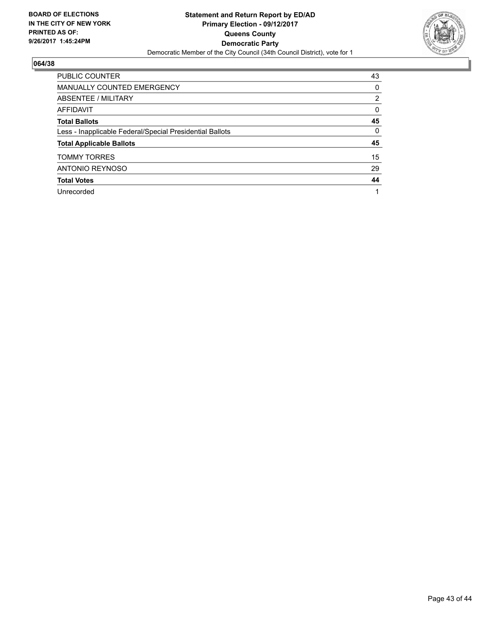

| <b>PUBLIC COUNTER</b>                                    | 43             |
|----------------------------------------------------------|----------------|
| MANUALLY COUNTED EMERGENCY                               | 0              |
| ABSENTEE / MILITARY                                      | $\overline{2}$ |
| AFFIDAVIT                                                | 0              |
| <b>Total Ballots</b>                                     | 45             |
| Less - Inapplicable Federal/Special Presidential Ballots | 0              |
| <b>Total Applicable Ballots</b>                          | 45             |
| <b>TOMMY TORRES</b>                                      | 15             |
| ANTONIO REYNOSO                                          | 29             |
| <b>Total Votes</b>                                       | 44             |
| Unrecorded                                               |                |